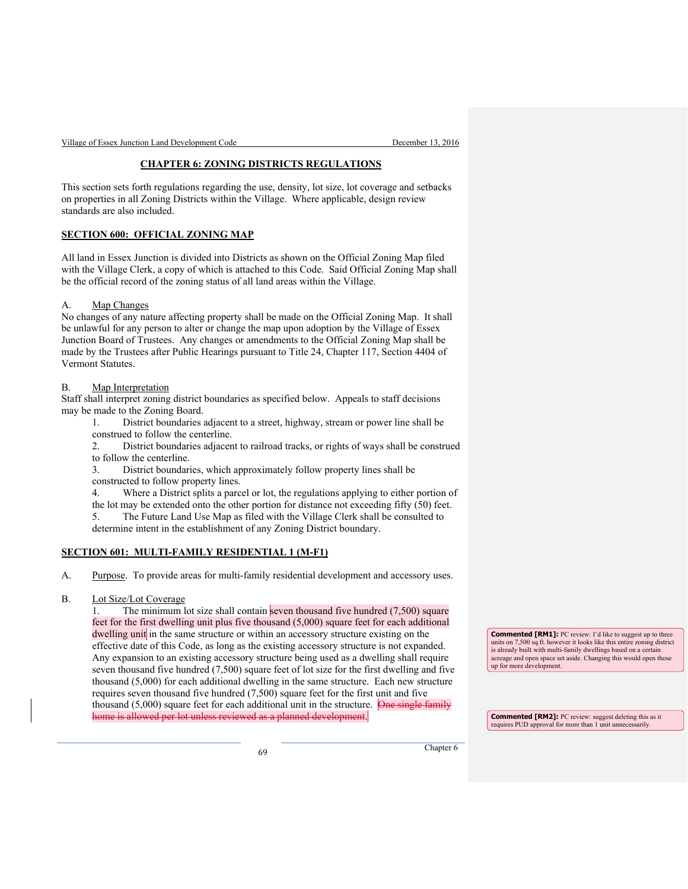Village of Essex Junction Land Development Code December 13, 2016

#### **CHAPTER 6: ZONING DISTRICTS REGULATIONS**

This section sets forth regulations regarding the use, density, lot size, lot coverage and setbacks on properties in all Zoning Districts within the Village. Where applicable, design review standards are also included.

#### **SECTION 600: OFFICIAL ZONING MAP**

All land in Essex Junction is divided into Districts as shown on the Official Zoning Map filed with the Village Clerk, a copy of which is attached to this Code. Said Official Zoning Map shall be the official record of the zoning status of all land areas within the Village.

#### A. Map Changes

No changes of any nature affecting property shall be made on the Official Zoning Map. It shall be unlawful for any person to alter or change the map upon adoption by the Village of Essex Junction Board of Trustees. Any changes or amendments to the Official Zoning Map shall be made by the Trustees after Public Hearings pursuant to Title 24, Chapter 117, Section 4404 of Vermont Statutes.

#### B. Map Interpretation

Staff shall interpret zoning district boundaries as specified below. Appeals to staff decisions may be made to the Zoning Board.

1. District boundaries adjacent to a street, highway, stream or power line shall be construed to follow the centerline.

2. District boundaries adjacent to railroad tracks, or rights of ways shall be construed to follow the centerline.

3. District boundaries, which approximately follow property lines shall be constructed to follow property lines.

4. Where a District splits a parcel or lot, the regulations applying to either portion of the lot may be extended onto the other portion for distance not exceeding fifty (50) feet. 5. The Future Land Use Map as filed with the Village Clerk shall be consulted to determine intent in the establishment of any Zoning District boundary.

#### **SECTION 601: MULTI-FAMILY RESIDENTIAL 1 (M-F1)**

A. Purpose. To provide areas for multi-family residential development and accessory uses.

## B. Lot Size/Lot Coverage

1. The minimum lot size shall contain seven thousand five hundred (7,500) square feet for the first dwelling unit plus five thousand (5,000) square feet for each additional dwelling unit in the same structure or within an accessory structure existing on the effective date of this Code, as long as the existing accessory structure is not expanded. Any expansion to an existing accessory structure being used as a dwelling shall require seven thousand five hundred (7,500) square feet of lot size for the first dwelling and five thousand (5,000) for each additional dwelling in the same structure. Each new structure requires seven thousand five hundred (7,500) square feet for the first unit and five thousand  $(5,000)$  square feet for each additional unit in the structure. One single family home is allowed per lot unless reviewed as a planned development.

**Commented [RM1]:** PC review: I'd like to suggest up to three units on 7,500 sq.ft. however it looks like this entire zoning district is already built with multi-family dwellings based on a certain acreage and open space set aside. Changing this would open those up for more development.

**Commented [RM2]:** PC review: suggest deleting this as it requires PUD approval for more than 1 unit unnecessarily.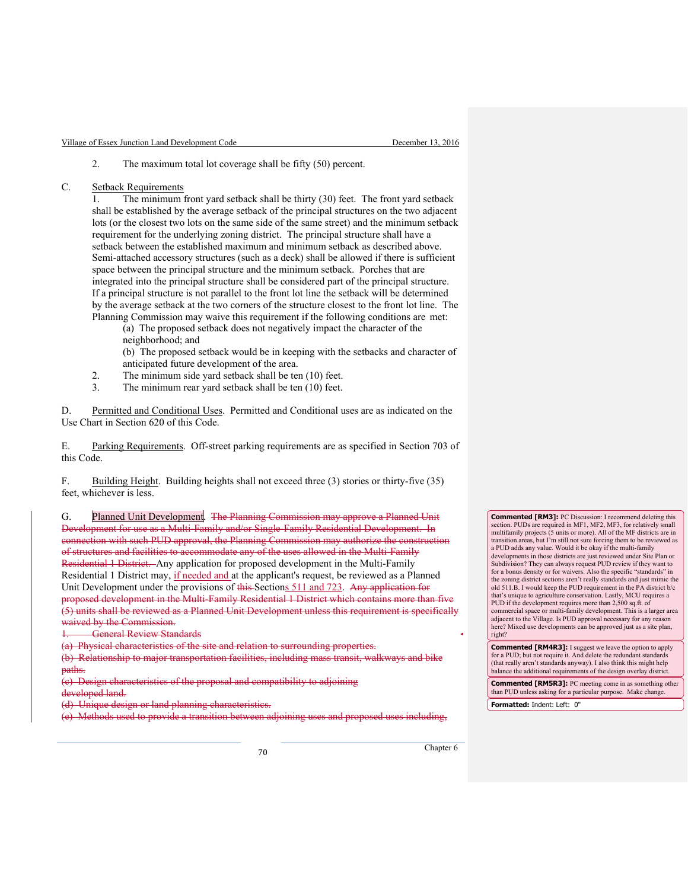2. The maximum total lot coverage shall be fifty (50) percent.

C. Setback Requirements

1. The minimum front yard setback shall be thirty (30) feet. The front yard setback shall be established by the average setback of the principal structures on the two adjacent lots (or the closest two lots on the same side of the same street) and the minimum setback requirement for the underlying zoning district. The principal structure shall have a setback between the established maximum and minimum setback as described above. Semi-attached accessory structures (such as a deck) shall be allowed if there is sufficient space between the principal structure and the minimum setback. Porches that are integrated into the principal structure shall be considered part of the principal structure. If a principal structure is not parallel to the front lot line the setback will be determined by the average setback at the two corners of the structure closest to the front lot line. The Planning Commission may waive this requirement if the following conditions are met:

 (a) The proposed setback does not negatively impact the character of the neighborhood; and

 (b) The proposed setback would be in keeping with the setbacks and character of anticipated future development of the area.

- 2. The minimum side yard setback shall be ten (10) feet.
- 3. The minimum rear yard setback shall be ten (10) feet.

D. Permitted and Conditional Uses. Permitted and Conditional uses are as indicated on the Use Chart in Section 620 of this Code.

E. Parking Requirements. Off-street parking requirements are as specified in Section 703 of this Code.

F. Building Height. Building heights shall not exceed three (3) stories or thirty-five (35) feet, whichever is less.

G. Planned Unit Development. The Planning Commission may approve a Planned Unit Development for use as a Multi-Family and/or Single-Family Residential Development. In connection with such PUD approval, the Planning Commission may authorize the construction of structures and facilities to accommodate any of the uses allowed in the Multi-Family Residential 1 District. Any application for proposed development in the Multi-Family Residential 1 District may, if needed and at the applicant's request, be reviewed as a Planned Unit Development under the provisions of this Sections 511 and 723. Any application for proposed development in the Multi-Family Residential 1 District which contains more than five (5) units shall be reviewed as a Planned Unit Development unless this requirement is specifically waived by the Commission.

**General Review Standards** 

(a) Physical characteristics of the site and relation to surrounding properties.

(b) Relationship to major transportation facilities, including mass transit, walkways and bike paths.

(c) Design characteristics of the proposal and compatibility to adjoining developed land.

(d) Unique design or land planning characteristics.

(e) Methods used to provide a transition between adjoining uses and proposed uses including,

**Commented [RM3]:** PC Discussion: I recommend deleting this section. PUDs are required in MF1, MF2, MF3, for relatively small multifamily projects (5 units or more). All of the MF districts are in transition areas, but I'm still not sure forcing them to be reviewed as a PUD adds any value. Would it be okay if the multi-family developments in those districts are just reviewed under Site Plan or Subdivision? They can always request PUD review if they want to for a bonus density or for waivers. Also the specific "standards" in the zoning district sections aren't really standards and just mimic the old 511.B. I would keep the PUD requirement in the PA district b/c that's unique to agriculture conservation. Lastly, MCU requires a PUD if the development requires more than 2,500 sq.ft. of commercial space or multi-family development. This is a larger area adjacent to the Village. Is PUD approval necessary for any reason here? Mixed use developments can be approved just as a site plan, right?

**Commented [RM4R3]:** I suggest we leave the option to apply for a PUD; but not require it. And delete the redundant standards (that really aren't standards anyway). I also think this might help balance the additional requirements of the design overlay district.

**Commented [RM5R3]:** PC meeting come in as something other than PUD unless asking for a particular purpose. Make change.

**Formatted:** Indent: Left: 0"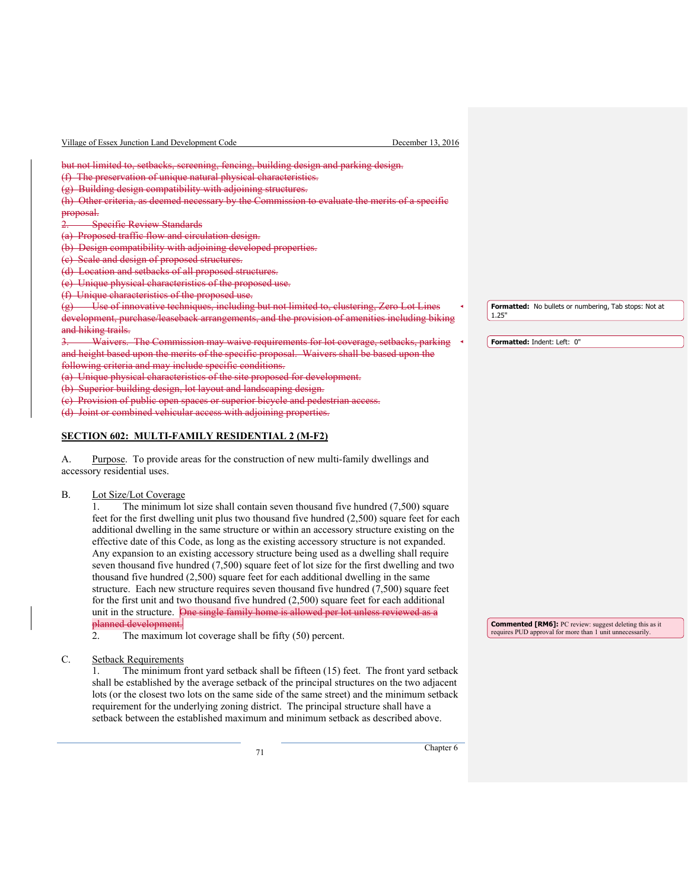| Village of Essex Junction Land Development Code                                                                                                                                                                                                                                                                                                                                                                                                                                                                                                                                                                                                                 | December 13, 2016 |                                                       |
|-----------------------------------------------------------------------------------------------------------------------------------------------------------------------------------------------------------------------------------------------------------------------------------------------------------------------------------------------------------------------------------------------------------------------------------------------------------------------------------------------------------------------------------------------------------------------------------------------------------------------------------------------------------------|-------------------|-------------------------------------------------------|
| but not limited to, setbacks, screening, fencing, building design and parking design.<br>(f) The preservation of unique natural physical characteristics.<br>(g) Building design compatibility with adjoining structures.<br>(h) Other criteria, as deemed necessary by the Commission to evaluate the merits of a specific<br>proposal.<br><b>Specific Review Standards</b><br>(a) Proposed traffic flow and circulation design.<br>Design compatibility with adjoining developed properties.<br>Scale and design of proposed structures.<br>(d) Location and setbacks of all proposed structures.<br>(e) Unique physical characteristics of the proposed use. |                   |                                                       |
| Unique characteristics of the proposed use.                                                                                                                                                                                                                                                                                                                                                                                                                                                                                                                                                                                                                     |                   | Formatted: No bullets or numbering, Tab stops: Not at |
| Use of innovative techniques, including but not limited to, clustering, Zero Lot Lines<br><del>127</del><br>development, purchase/leaseback arrangements, and the provision of amenities including biking                                                                                                                                                                                                                                                                                                                                                                                                                                                       |                   | 1.25'                                                 |
| and hiking trails.<br>Waivers. The Commission may waive requirements for lot coverage, setbacks, parking                                                                                                                                                                                                                                                                                                                                                                                                                                                                                                                                                        |                   | <b>Formatted: Indent: Left: 0"</b>                    |
| and height based upon the merits of the specific proposal. Waivers shall be based upon the<br>following criteria and may include specific conditions.                                                                                                                                                                                                                                                                                                                                                                                                                                                                                                           |                   |                                                       |
| (a) Unique physical characteristics of the site proposed for development.                                                                                                                                                                                                                                                                                                                                                                                                                                                                                                                                                                                       |                   |                                                       |
| (b) Superior building design, lot layout and landscaping design.<br><b>Provision of public open spaces or superior bicycle and pedestrian access.</b>                                                                                                                                                                                                                                                                                                                                                                                                                                                                                                           |                   |                                                       |
| (d) Joint or combined vehicular access with adjoining properties.                                                                                                                                                                                                                                                                                                                                                                                                                                                                                                                                                                                               |                   |                                                       |

## **SECTION 602: MULTI-FAMILY RESIDENTIAL 2 (M-F2)**

A. Purpose. To provide areas for the construction of new multi-family dwellings and accessory residential uses.

## B. Lot Size/Lot Coverage

1. The minimum lot size shall contain seven thousand five hundred (7,500) square feet for the first dwelling unit plus two thousand five hundred (2,500) square feet for each additional dwelling in the same structure or within an accessory structure existing on the effective date of this Code, as long as the existing accessory structure is not expanded. Any expansion to an existing accessory structure being used as a dwelling shall require seven thousand five hundred (7,500) square feet of lot size for the first dwelling and two thousand five hundred (2,500) square feet for each additional dwelling in the same structure. Each new structure requires seven thousand five hundred  $(7,500)$  square feet for the first unit and two thousand five hundred (2,500) square feet for each additional unit in the structure. One single family home is allowed per lot unless reviewed as a planned development. planned developies<br>2. The maxi

The maximum lot coverage shall be fifty (50) percent.

C. Setback Requirements

1. The minimum front yard setback shall be fifteen (15) feet. The front yard setback shall be established by the average setback of the principal structures on the two adjacent lots (or the closest two lots on the same side of the same street) and the minimum setback requirement for the underlying zoning district. The principal structure shall have a setback between the established maximum and minimum setback as described above.

<sup>71</sup> Chapter 6

**Commented [RM6]:** PC review: suggest deleting this as it requires PUD approval for more than 1 unit unnecessarily.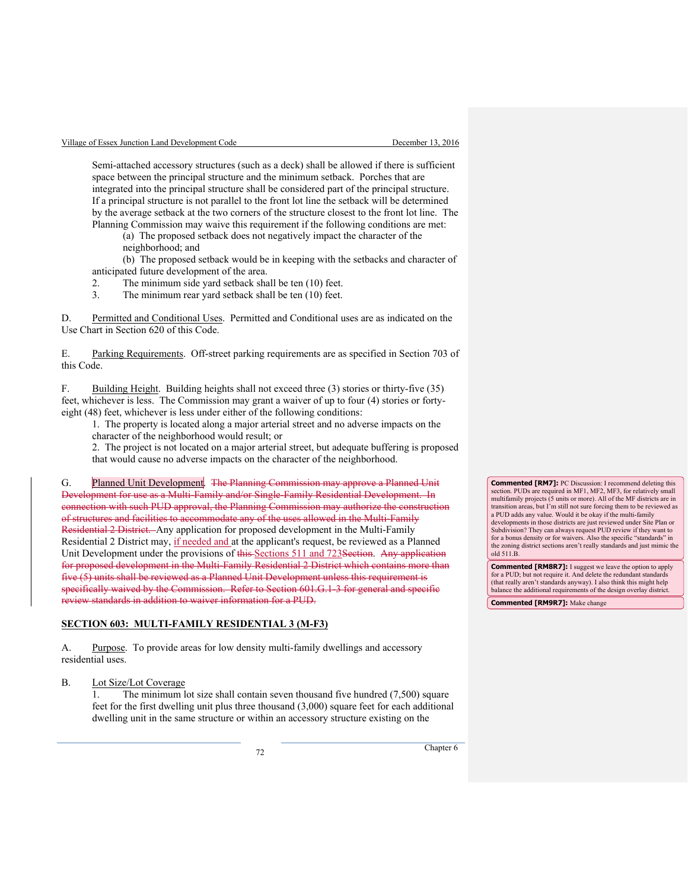Semi-attached accessory structures (such as a deck) shall be allowed if there is sufficient space between the principal structure and the minimum setback. Porches that are integrated into the principal structure shall be considered part of the principal structure. If a principal structure is not parallel to the front lot line the setback will be determined by the average setback at the two corners of the structure closest to the front lot line. The Planning Commission may waive this requirement if the following conditions are met:

 (a) The proposed setback does not negatively impact the character of the neighborhood; and

 (b) The proposed setback would be in keeping with the setbacks and character of anticipated future development of the area.

2. The minimum side yard setback shall be ten (10) feet.

3. The minimum rear yard setback shall be ten (10) feet.

D. Permitted and Conditional Uses. Permitted and Conditional uses are as indicated on the Use Chart in Section 620 of this Code.

E. Parking Requirements. Off-street parking requirements are as specified in Section 703 of this Code.

F. Building Height. Building heights shall not exceed three (3) stories or thirty-five (35) feet, whichever is less. The Commission may grant a waiver of up to four (4) stories or fortyeight (48) feet, whichever is less under either of the following conditions:

1. The property is located along a major arterial street and no adverse impacts on the character of the neighborhood would result; or

2. The project is not located on a major arterial street, but adequate buffering is proposed

that would cause no adverse impacts on the character of the neighborhood.

G. Planned Unit Development. The Planning Commission may approve a Planned Unit Development for use as a Multi-Family and/or Single-Family Residential Development. In connection with such PUD approval, the Planning Commission may authorize the construction of structures and facilities to accommodate any of the uses allowed in the Multi-Family Residential 2 District. Any application for proposed development in the Multi-Family Residential 2 District may, if needed and at the applicant's request, be reviewed as a Planned Unit Development under the provisions of this Sections 511 and 723 Section. Any application for proposed development in the Multi-Family Residential 2 District which contains more than five (5) units shall be reviewed as a Planned Unit Development unless this requirement is specifically waived by the Commission. Refer to Section 601.G.1-3 for general and specific review standards in addition to waiver information for a PUD.

#### **SECTION 603: MULTI-FAMILY RESIDENTIAL 3 (M-F3)**

A. Purpose. To provide areas for low density multi-family dwellings and accessory residential uses.

B. Lot Size/Lot Coverage

1. The minimum lot size shall contain seven thousand five hundred (7,500) square feet for the first dwelling unit plus three thousand (3,000) square feet for each additional dwelling unit in the same structure or within an accessory structure existing on the

**Commented [RM7]:** PC Discussion: I recommend deleting this section. PUDs are required in MF1, MF2, MF3, for relatively small multifamily projects (5 units or more). All of the MF districts are in transition areas, but I'm still not sure forcing them to be reviewed as a PUD adds any value. Would it be okay if the multi-family developments in those districts are just reviewed under Site Plan or Subdivision? They can always request PUD review if they want to for a bonus density or for waivers. Also the specific "standards" in the zoning district sections aren't really standards and just mimic the old 511.B.

**Commented [RM8R7]:** I suggest we leave the option to apply for a PUD; but not require it. And delete the redunda (that really aren't standards anyway). I also think this might help balance the additional requirements of the design overlay district.

**Commented [RM9R7]:** Make change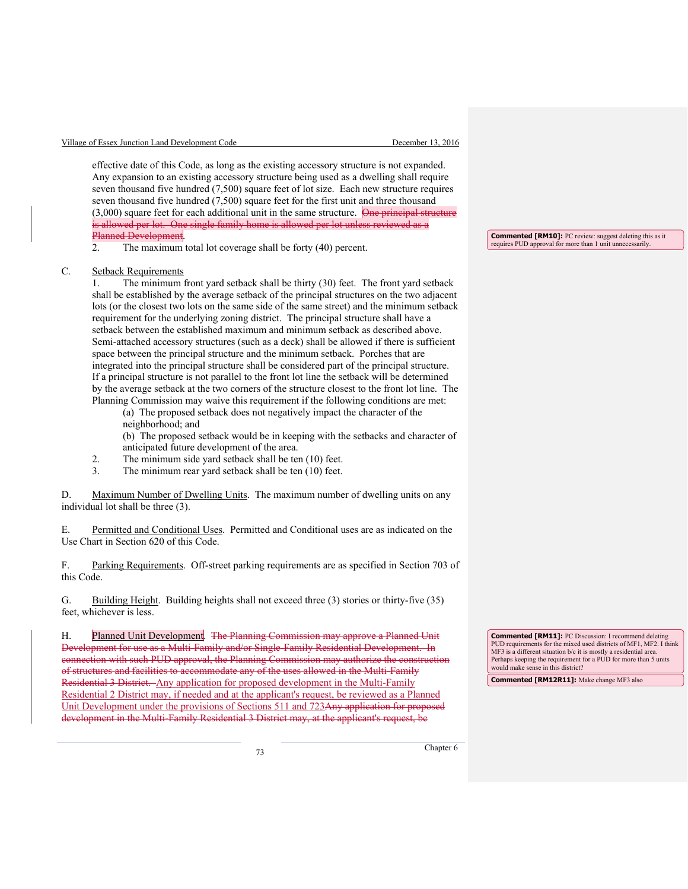effective date of this Code, as long as the existing accessory structure is not expanded. Any expansion to an existing accessory structure being used as a dwelling shall require seven thousand five hundred (7,500) square feet of lot size. Each new structure requires seven thousand five hundred (7,500) square feet for the first unit and three thousand  $(3,000)$  square feet for each additional unit in the same structure. One principal structure is allowed per lot. One single family home is allowed per lot unless reviewed as a **Planned Development**.<br>2. The maximum

The maximum total lot coverage shall be forty (40) percent.

#### C. Setback Requirements

1. The minimum front yard setback shall be thirty (30) feet. The front yard setback shall be established by the average setback of the principal structures on the two adjacent lots (or the closest two lots on the same side of the same street) and the minimum setback requirement for the underlying zoning district. The principal structure shall have a setback between the established maximum and minimum setback as described above. Semi-attached accessory structures (such as a deck) shall be allowed if there is sufficient space between the principal structure and the minimum setback. Porches that are integrated into the principal structure shall be considered part of the principal structure. If a principal structure is not parallel to the front lot line the setback will be determined by the average setback at the two corners of the structure closest to the front lot line. The Planning Commission may waive this requirement if the following conditions are met:

(a) The proposed setback does not negatively impact the character of the neighborhood; and

 (b) The proposed setback would be in keeping with the setbacks and character of anticipated future development of the area.

- 2. The minimum side yard setback shall be ten (10) feet.
- 3. The minimum rear yard setback shall be ten (10) feet.

D. Maximum Number of Dwelling Units. The maximum number of dwelling units on any individual lot shall be three (3).

E. Permitted and Conditional Uses. Permitted and Conditional uses are as indicated on the Use Chart in Section 620 of this Code.

F. Parking Requirements. Off-street parking requirements are as specified in Section 703 of this Code.

G. Building Height. Building heights shall not exceed three (3) stories or thirty-five (35) feet, whichever is less.

H. Planned Unit Development. The Planning Commission may approve a Planned Unit Development for use as a Multi-Family and/or Single-Family Residential Development. In rection with such PUD approval, the Planning Commission may authorize the constr of structures and facilities to accommodate any of the uses allowed in the Multi-Family Residential 3 District. Any application for proposed development in the Multi-Family Residential 2 District may, if needed and at the applicant's request, be reviewed as a Planned Unit Development under the provisions of Sections 511 and 723Any application for proposed development in the Multi-Family Residential 3 District may, at the applicant's request, be

**Commented [RM11]:** PC Discussion: I recommend deleting PUD requirements for the mixed used districts of MF1, MF2. I think MF3 is a different situation b/c it is mostly a residential area. Perhaps keeping the requirement for a PUD for more than 5 units would make sense in this district?

**Commented [RM12R11]:** Make change MF3 also

**Commented [RM10]:** PC review: suggest deleting this as it requires PUD approval for more than 1 unit unnecessarily.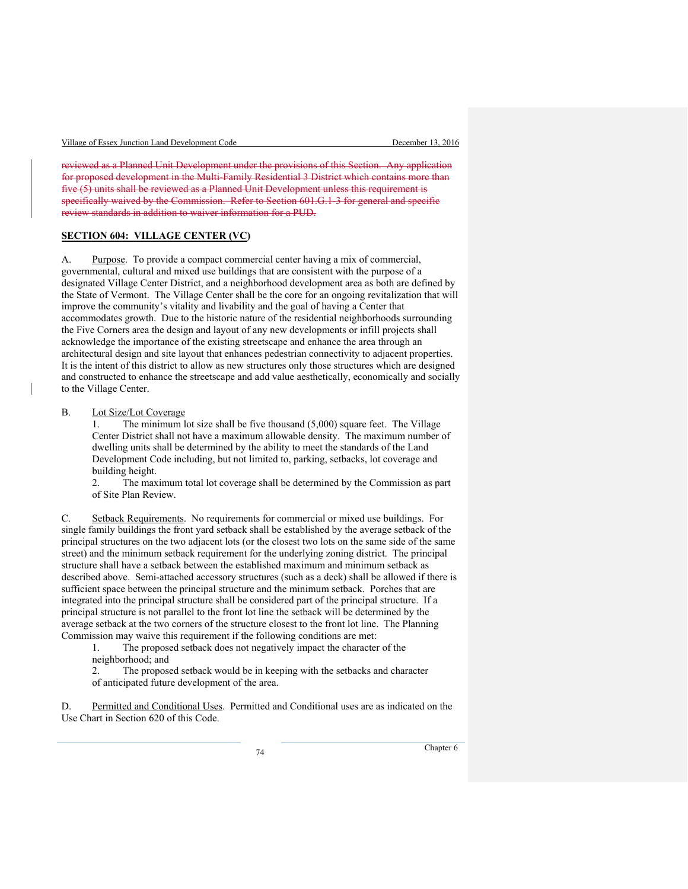reviewed as a Planned Unit Development under the provisions of this Section. Any application for proposed development in the Multi-Family Residential 3 District which contains more than five (5) units shall be reviewed as a Planned Unit Development unless this requirement is specifically waived by the Commission. Refer to Section 601.G.1-3 for general and specific review standards in addition to waiver information for a PUD.

#### **SECTION 604: VILLAGE CENTER (VC)**

A. Purpose. To provide a compact commercial center having a mix of commercial, governmental, cultural and mixed use buildings that are consistent with the purpose of a designated Village Center District, and a neighborhood development area as both are defined by the State of Vermont. The Village Center shall be the core for an ongoing revitalization that will improve the community's vitality and livability and the goal of having a Center that accommodates growth. Due to the historic nature of the residential neighborhoods surrounding the Five Corners area the design and layout of any new developments or infill projects shall acknowledge the importance of the existing streetscape and enhance the area through an architectural design and site layout that enhances pedestrian connectivity to adjacent properties. It is the intent of this district to allow as new structures only those structures which are designed and constructed to enhance the streetscape and add value aesthetically, economically and socially to the Village Center.

B. Lot Size/Lot Coverage

1. The minimum lot size shall be five thousand (5,000) square feet. The Village Center District shall not have a maximum allowable density. The maximum number of dwelling units shall be determined by the ability to meet the standards of the Land Development Code including, but not limited to, parking, setbacks, lot coverage and building height.

2. The maximum total lot coverage shall be determined by the Commission as part of Site Plan Review.

C. Setback Requirements. No requirements for commercial or mixed use buildings. For single family buildings the front yard setback shall be established by the average setback of the principal structures on the two adjacent lots (or the closest two lots on the same side of the same street) and the minimum setback requirement for the underlying zoning district. The principal structure shall have a setback between the established maximum and minimum setback as described above. Semi-attached accessory structures (such as a deck) shall be allowed if there is sufficient space between the principal structure and the minimum setback. Porches that are integrated into the principal structure shall be considered part of the principal structure. If a principal structure is not parallel to the front lot line the setback will be determined by the average setback at the two corners of the structure closest to the front lot line. The Planning Commission may waive this requirement if the following conditions are met:

 1. The proposed setback does not negatively impact the character of the neighborhood; and

 2. The proposed setback would be in keeping with the setbacks and character of anticipated future development of the area.

D. Permitted and Conditional Uses. Permitted and Conditional uses are as indicated on the Use Chart in Section 620 of this Code.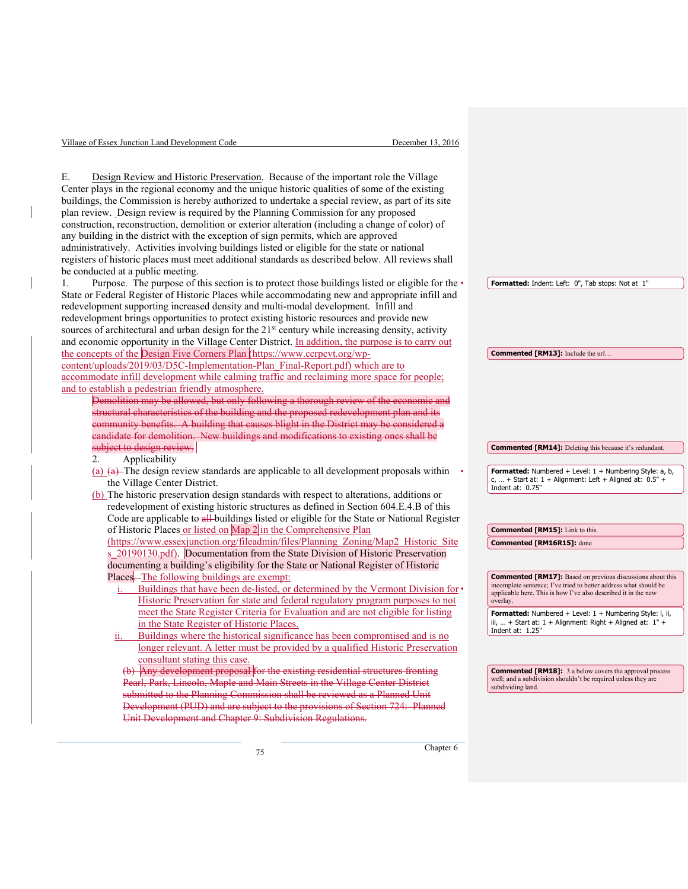| Village of Essex Junction Land Development Code                                                                                                                                                                                                                                                                                                                                                                                                                                                                                                                                                                                                                                                                                                                                                                             | December 13, 2016                                                                                                                                                                                                   |
|-----------------------------------------------------------------------------------------------------------------------------------------------------------------------------------------------------------------------------------------------------------------------------------------------------------------------------------------------------------------------------------------------------------------------------------------------------------------------------------------------------------------------------------------------------------------------------------------------------------------------------------------------------------------------------------------------------------------------------------------------------------------------------------------------------------------------------|---------------------------------------------------------------------------------------------------------------------------------------------------------------------------------------------------------------------|
|                                                                                                                                                                                                                                                                                                                                                                                                                                                                                                                                                                                                                                                                                                                                                                                                                             |                                                                                                                                                                                                                     |
| Design Review and Historic Preservation. Because of the important role the Village<br>Е.<br>Center plays in the regional economy and the unique historic qualities of some of the existing<br>buildings, the Commission is hereby authorized to undertake a special review, as part of its site<br>plan review. Design review is required by the Planning Commission for any proposed<br>construction, reconstruction, demolition or exterior alteration (including a change of color) of<br>any building in the district with the exception of sign permits, which are approved<br>administratively. Activities involving buildings listed or eligible for the state or national<br>registers of historic places must meet additional standards as described below. All reviews shall<br>be conducted at a public meeting. |                                                                                                                                                                                                                     |
| Purpose. The purpose of this section is to protect those buildings listed or eligible for the<br>1.                                                                                                                                                                                                                                                                                                                                                                                                                                                                                                                                                                                                                                                                                                                         | Formatted: Indent: Left: 0", Tab stops: Not at 1"                                                                                                                                                                   |
| State or Federal Register of Historic Places while accommodating new and appropriate infill and<br>redevelopment supporting increased density and multi-modal development. Infill and<br>redevelopment brings opportunities to protect existing historic resources and provide new<br>sources of architectural and urban design for the 21 <sup>st</sup> century while increasing density, activity<br>and economic opportunity in the Village Center District. In addition, the purpose is to carry out                                                                                                                                                                                                                                                                                                                    |                                                                                                                                                                                                                     |
| the concepts of the Design Five Corners Plan (https://www.ccrpcvt.org/wp-                                                                                                                                                                                                                                                                                                                                                                                                                                                                                                                                                                                                                                                                                                                                                   | <b>Commented [RM13]:</b> Include the url                                                                                                                                                                            |
| content/uploads/2019/03/D5C-Implementation-Plan Final-Report.pdf) which are to<br>accommodate infill development while calming traffic and reclaiming more space for people;<br>and to establish a pedestrian friendly atmosphere.<br>Demolition may be allowed, but only following a thorough review of the economic and<br>structural characteristics of the building and the proposed redevelopment plan and its<br>community benefits. A building that causes blight in the District may be considered a<br>candidate for demolition. New buildings and modifications to existing ones shall be                                                                                                                                                                                                                         |                                                                                                                                                                                                                     |
|                                                                                                                                                                                                                                                                                                                                                                                                                                                                                                                                                                                                                                                                                                                                                                                                                             |                                                                                                                                                                                                                     |
|                                                                                                                                                                                                                                                                                                                                                                                                                                                                                                                                                                                                                                                                                                                                                                                                                             |                                                                                                                                                                                                                     |
| subject to design review.<br>2.                                                                                                                                                                                                                                                                                                                                                                                                                                                                                                                                                                                                                                                                                                                                                                                             | <b>Commented [RM14]:</b> Deleting this because it's redundant.                                                                                                                                                      |
| Applicability<br>(a) $\left(\frac{a}{a}\right)$ -The design review standards are applicable to all development proposals within<br>the Village Center District.<br>(b) The historic preservation design standards with respect to alterations, additions or<br>redevelopment of existing historic structures as defined in Section 604.E.4.B of this                                                                                                                                                                                                                                                                                                                                                                                                                                                                        | Formatted: Numbered + Level: 1 + Numbering Style: a, b,<br>c,  + Start at: $1 +$ Alignment: Left + Aligned at: $0.5"$ +<br>Indent at: 0.75"                                                                         |
| Code are applicable to all-buildings listed or eligible for the State or National Register                                                                                                                                                                                                                                                                                                                                                                                                                                                                                                                                                                                                                                                                                                                                  | <b>Commented [RM15]:</b> Link to this.                                                                                                                                                                              |
| of Historic Places or listed on Map 2 in the Comprehensive Plan<br>(https://www.essexjunction.org/fileadmin/files/Planning Zoning/Map2 Historic Site                                                                                                                                                                                                                                                                                                                                                                                                                                                                                                                                                                                                                                                                        | Commented [RM16R15]: done                                                                                                                                                                                           |
| s 20190130.pdf). Documentation from the State Division of Historic Preservation                                                                                                                                                                                                                                                                                                                                                                                                                                                                                                                                                                                                                                                                                                                                             |                                                                                                                                                                                                                     |
| documenting a building's eligibility for the State or National Register of Historic<br>Places—The following buildings are exempt:<br>Buildings that have been de-listed, or determined by the Vermont Division for<br>Historic Preservation for state and federal regulatory program purposes to not                                                                                                                                                                                                                                                                                                                                                                                                                                                                                                                        | <b>Commented [RM17]:</b> Based on previous discussions about this<br>incomplete sentence; I've tried to better address what should be<br>applicable here. This is how I've also described it in the new<br>overlay. |
| meet the State Register Criteria for Evaluation and are not eligible for listing<br>in the State Register of Historic Places.                                                                                                                                                                                                                                                                                                                                                                                                                                                                                                                                                                                                                                                                                               | Formatted: Numbered + Level: 1 + Numbering Style: i, ii,<br>iii,  + Start at: 1 + Alignment: Right + Aligned at: 1" +<br>Indent at: $1.25"$                                                                         |
| Buildings where the historical significance has been compromised and is no<br>11.<br>longer relevant. A letter must be provided by a qualified Historic Preservation<br>consultant stating this case.                                                                                                                                                                                                                                                                                                                                                                                                                                                                                                                                                                                                                       |                                                                                                                                                                                                                     |
| $(b)$ Any development proposal for the existing residential structures fronting<br>Pearl, Park, Lincoln, Maple and Main Streets in the Village Center District<br>submitted to the Planning Commission shall be reviewed as a Planned Unit<br>Development (PUD) and are subject to the provisions of Section 724: Planned<br>Unit Development and Chapter 9: Subdivision Regulations.                                                                                                                                                                                                                                                                                                                                                                                                                                       | <b>Commented [RM18]:</b> 3.a below covers the approval process<br>well; and a subdivision shouldn't be required unless they are<br>subdividing land.                                                                |

 $\overline{\phantom{a}}$ 

 $\overline{\phantom{a}}$ 

The Chapter 6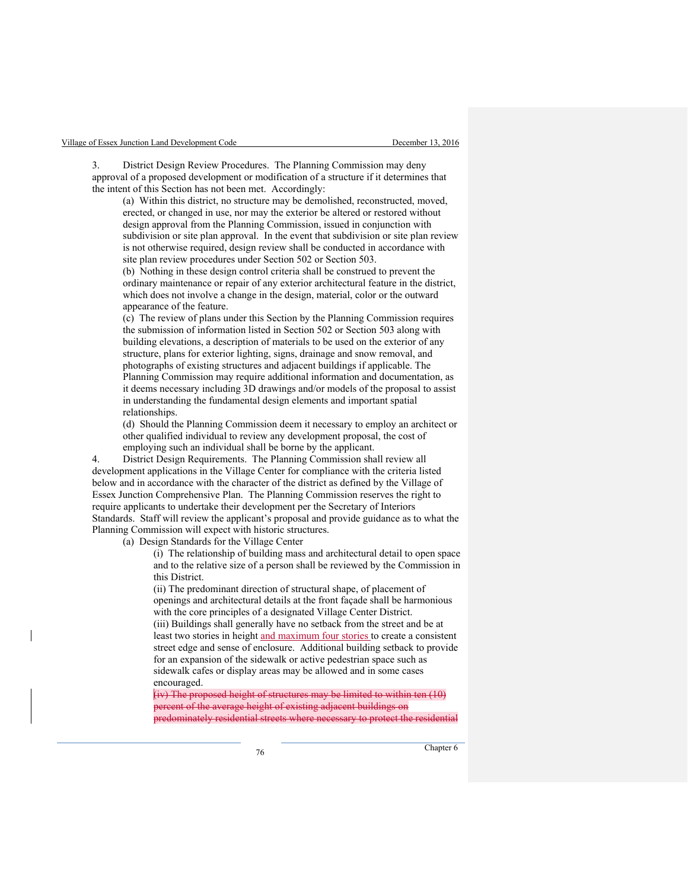District Design Review Procedures. The Planning Commission may deny approval of a proposed development or modification of a structure if it determines that the intent of this Section has not been met. Accordingly:

(a) Within this district, no structure may be demolished, reconstructed, moved, erected, or changed in use, nor may the exterior be altered or restored without design approval from the Planning Commission, issued in conjunction with subdivision or site plan approval. In the event that subdivision or site plan review is not otherwise required, design review shall be conducted in accordance with site plan review procedures under Section 502 or Section 503.

(b) Nothing in these design control criteria shall be construed to prevent the ordinary maintenance or repair of any exterior architectural feature in the district, which does not involve a change in the design, material, color or the outward appearance of the feature.

(c) The review of plans under this Section by the Planning Commission requires the submission of information listed in Section 502 or Section 503 along with building elevations, a description of materials to be used on the exterior of any structure, plans for exterior lighting, signs, drainage and snow removal, and photographs of existing structures and adjacent buildings if applicable. The Planning Commission may require additional information and documentation, as it deems necessary including 3D drawings and/or models of the proposal to assist in understanding the fundamental design elements and important spatial relationships.

(d) Should the Planning Commission deem it necessary to employ an architect or other qualified individual to review any development proposal, the cost of employing such an individual shall be borne by the applicant.

4. District Design Requirements. The Planning Commission shall review all development applications in the Village Center for compliance with the criteria listed below and in accordance with the character of the district as defined by the Village of Essex Junction Comprehensive Plan. The Planning Commission reserves the right to require applicants to undertake their development per the Secretary of Interiors Standards. Staff will review the applicant's proposal and provide guidance as to what the Planning Commission will expect with historic structures.

(a) Design Standards for the Village Center

(i) The relationship of building mass and architectural detail to open space and to the relative size of a person shall be reviewed by the Commission in this District.

(ii) The predominant direction of structural shape, of placement of openings and architectural details at the front façade shall be harmonious with the core principles of a designated Village Center District. (iii) Buildings shall generally have no setback from the street and be at least two stories in height and maximum four stories to create a consistent street edge and sense of enclosure. Additional building setback to provide for an expansion of the sidewalk or active pedestrian space such as sidewalk cafes or display areas may be allowed and in some cases encouraged.

(iv) The proposed height of structures may be limited to within ten (10) percent of the average height of existing adjacent buildings on predominately residential streets where necessary to protect the residential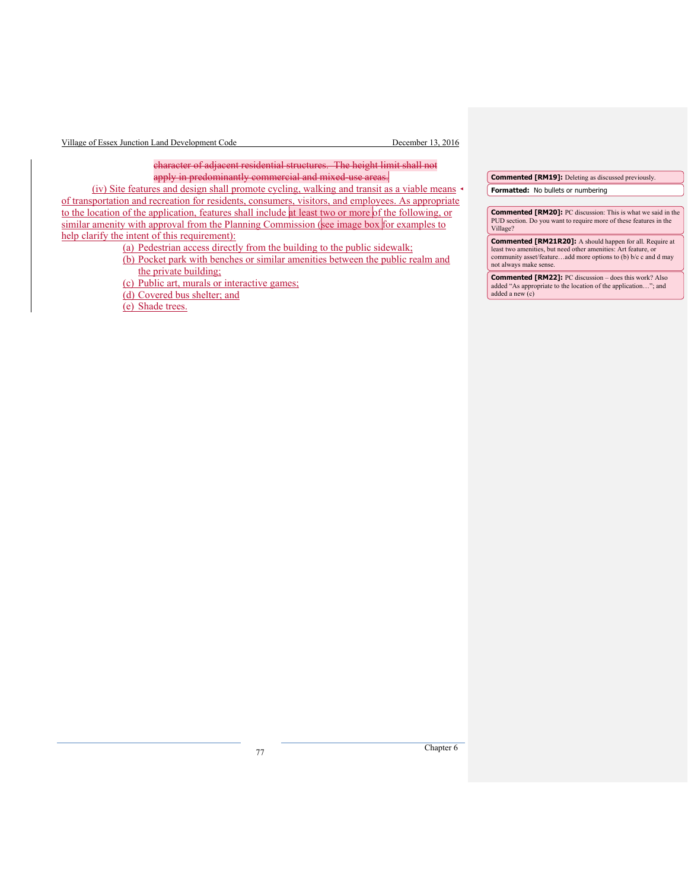| Village of Essex Junction Land Development Code |  |  |
|-------------------------------------------------|--|--|
|-------------------------------------------------|--|--|

December 13, 2016

character of adjacent residential structures. The height limit shall not apply in predominantly commercial and mixed-use areas.

(iv) Site features and design shall promote cycling, walking and transit as a viable means of transportation and recreation for residents, consumers, visitors, and employees. As appropriate to the location of the application, features shall include at least two or more of the following, or similar amenity with approval from the Planning Commission (see image box for examples to help clarify the intent of this requirement):

(a) Pedestrian access directly from the building to the public sidewalk;

- (b) Pocket park with benches or similar amenities between the public realm and the private building;
- (c) Public art, murals or interactive games;
- (d) Covered bus shelter; and

(e) Shade trees.

**Commented [RM19]:** Deleting as discussed previously.

**Formatted:** No bullets or numbering

**Commented [RM20]:** PC discussion: This is what we said in the PUD section. Do you want to require more of these features in the Village?

**Commented [RM21R20]:** A should happen for all. Require at least two amenities, but need other amenities: Art feature, or community asset/feature…add more options to (b) b/c c and d may not always make sense.

**Commented [RM22]:** PC discussion – does this work? Also added "As appropriate to the location of the application..."; and added a new (c)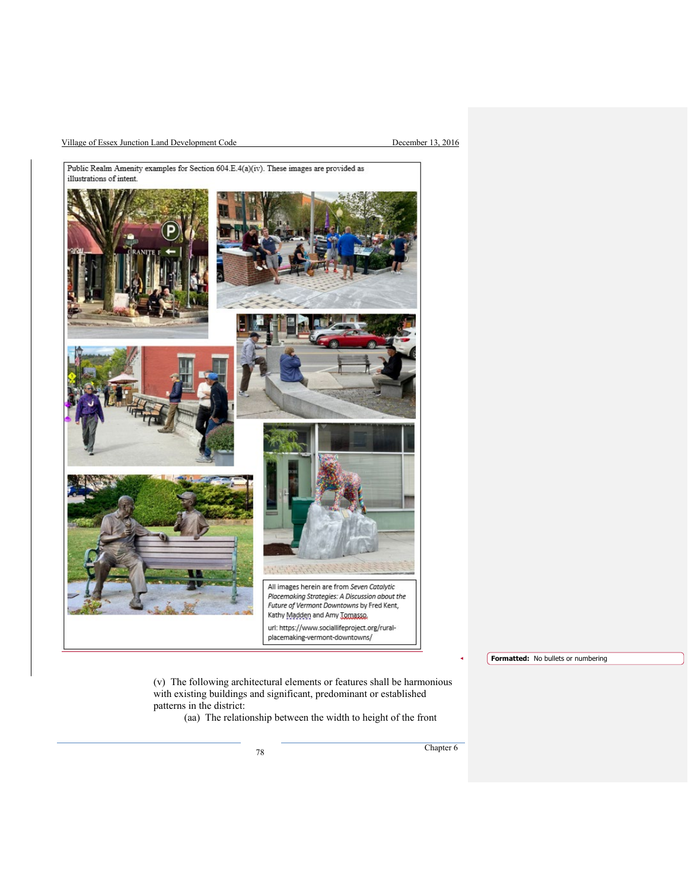#### Village of Essex Junction Land Development Code December 13, 2016



**Formatted:** No bullets or numbering

(v) The following architectural elements or features shall be harmonious with existing buildings and significant, predominant or established patterns in the district:

(aa) The relationship between the width to height of the front

The Chapter 6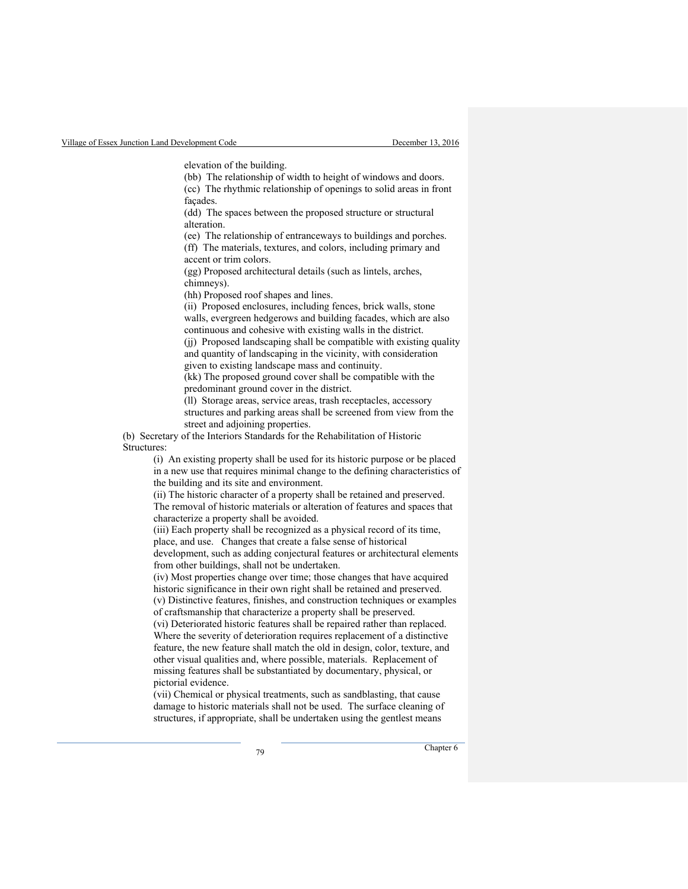elevation of the building.

(bb) The relationship of width to height of windows and doors. (cc) The rhythmic relationship of openings to solid areas in front façades.

(dd) The spaces between the proposed structure or structural alteration.

(ee) The relationship of entranceways to buildings and porches. (ff) The materials, textures, and colors, including primary and

accent or trim colors.

(gg) Proposed architectural details (such as lintels, arches, chimneys).

(hh) Proposed roof shapes and lines.

(ii) Proposed enclosures, including fences, brick walls, stone walls, evergreen hedgerows and building facades, which are also continuous and cohesive with existing walls in the district.

(jj) Proposed landscaping shall be compatible with existing quality and quantity of landscaping in the vicinity, with consideration given to existing landscape mass and continuity.

(kk) The proposed ground cover shall be compatible with the predominant ground cover in the district.

(ll) Storage areas, service areas, trash receptacles, accessory structures and parking areas shall be screened from view from the street and adjoining properties.

(b) Secretary of the Interiors Standards for the Rehabilitation of Historic Structures:

> (i) An existing property shall be used for its historic purpose or be placed in a new use that requires minimal change to the defining characteristics of the building and its site and environment.

(ii) The historic character of a property shall be retained and preserved. The removal of historic materials or alteration of features and spaces that characterize a property shall be avoided.

(iii) Each property shall be recognized as a physical record of its time, place, and use. Changes that create a false sense of historical development, such as adding conjectural features or architectural elements from other buildings, shall not be undertaken.

(iv) Most properties change over time; those changes that have acquired historic significance in their own right shall be retained and preserved. (v) Distinctive features, finishes, and construction techniques or examples of craftsmanship that characterize a property shall be preserved.

(vi) Deteriorated historic features shall be repaired rather than replaced. Where the severity of deterioration requires replacement of a distinctive feature, the new feature shall match the old in design, color, texture, and other visual qualities and, where possible, materials. Replacement of missing features shall be substantiated by documentary, physical, or pictorial evidence.

(vii) Chemical or physical treatments, such as sandblasting, that cause damage to historic materials shall not be used. The surface cleaning of structures, if appropriate, shall be undertaken using the gentlest means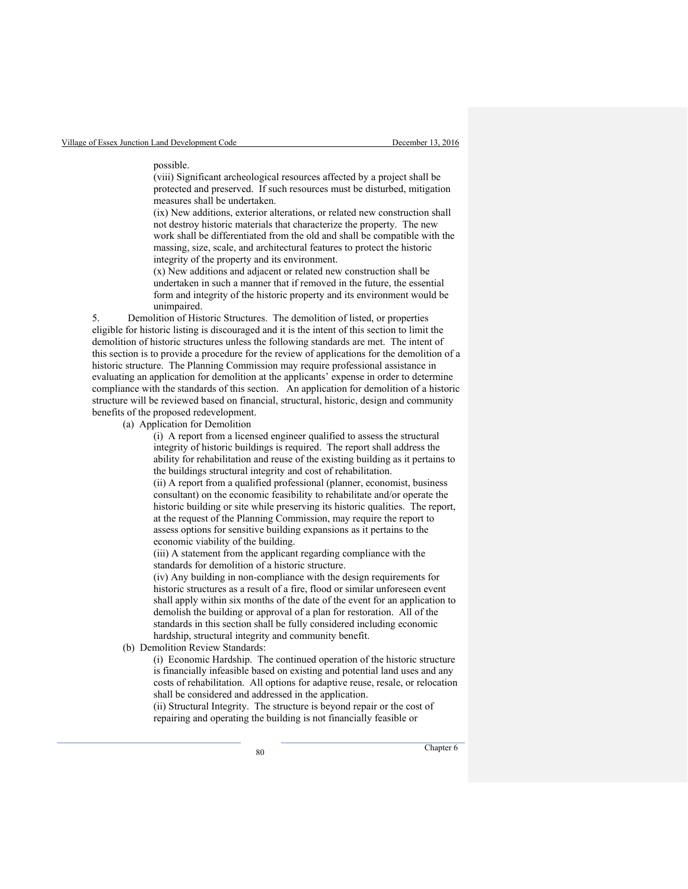#### possible.

(viii) Significant archeological resources affected by a project shall be protected and preserved. If such resources must be disturbed, mitigation measures shall be undertaken.

(ix) New additions, exterior alterations, or related new construction shall not destroy historic materials that characterize the property. The new work shall be differentiated from the old and shall be compatible with the massing, size, scale, and architectural features to protect the historic integrity of the property and its environment.

(x) New additions and adjacent or related new construction shall be undertaken in such a manner that if removed in the future, the essential form and integrity of the historic property and its environment would be unimpaired.

5. Demolition of Historic Structures. The demolition of listed, or properties eligible for historic listing is discouraged and it is the intent of this section to limit the demolition of historic structures unless the following standards are met. The intent of this section is to provide a procedure for the review of applications for the demolition of a historic structure. The Planning Commission may require professional assistance in evaluating an application for demolition at the applicants' expense in order to determine compliance with the standards of this section. An application for demolition of a historic structure will be reviewed based on financial, structural, historic, design and community benefits of the proposed redevelopment.

(a) Application for Demolition

(i) A report from a licensed engineer qualified to assess the structural integrity of historic buildings is required. The report shall address the ability for rehabilitation and reuse of the existing building as it pertains to the buildings structural integrity and cost of rehabilitation.

(ii) A report from a qualified professional (planner, economist, business consultant) on the economic feasibility to rehabilitate and/or operate the historic building or site while preserving its historic qualities. The report, at the request of the Planning Commission, may require the report to assess options for sensitive building expansions as it pertains to the economic viability of the building.

(iii) A statement from the applicant regarding compliance with the standards for demolition of a historic structure.

(iv) Any building in non-compliance with the design requirements for historic structures as a result of a fire, flood or similar unforeseen event shall apply within six months of the date of the event for an application to demolish the building or approval of a plan for restoration. All of the standards in this section shall be fully considered including economic hardship, structural integrity and community benefit.

(b) Demolition Review Standards:

(i) Economic Hardship. The continued operation of the historic structure is financially infeasible based on existing and potential land uses and any costs of rehabilitation. All options for adaptive reuse, resale, or relocation shall be considered and addressed in the application.

(ii) Structural Integrity. The structure is beyond repair or the cost of repairing and operating the building is not financially feasible or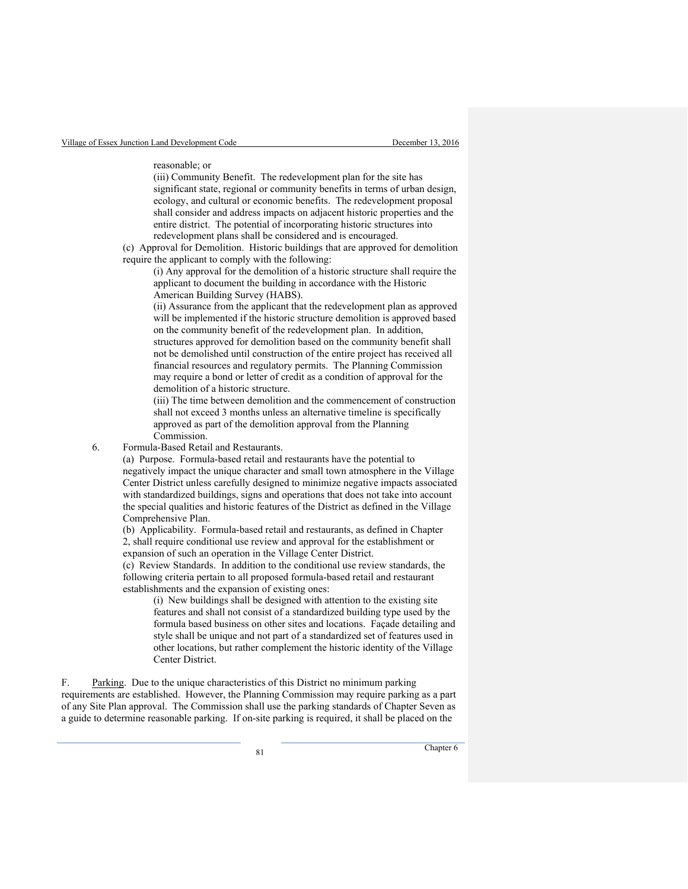reasonable; or

(iii) Community Benefit. The redevelopment plan for the site has significant state, regional or community benefits in terms of urban design, ecology, and cultural or economic benefits. The redevelopment proposal shall consider and address impacts on adjacent historic properties and the entire district. The potential of incorporating historic structures into redevelopment plans shall be considered and is encouraged.

 (c) Approval for Demolition. Historic buildings that are approved for demolition require the applicant to comply with the following:

(i) Any approval for the demolition of a historic structure shall require the applicant to document the building in accordance with the Historic American Building Survey (HABS).

(ii) Assurance from the applicant that the redevelopment plan as approved will be implemented if the historic structure demolition is approved based on the community benefit of the redevelopment plan. In addition, structures approved for demolition based on the community benefit shall not be demolished until construction of the entire project has received all financial resources and regulatory permits. The Planning Commission may require a bond or letter of credit as a condition of approval for the demolition of a historic structure.

(iii) The time between demolition and the commencement of construction shall not exceed 3 months unless an alternative timeline is specifically approved as part of the demolition approval from the Planning Commission.

6. Formula-Based Retail and Restaurants.

(a) Purpose. Formula-based retail and restaurants have the potential to negatively impact the unique character and small town atmosphere in the Village Center District unless carefully designed to minimize negative impacts associated with standardized buildings, signs and operations that does not take into account the special qualities and historic features of the District as defined in the Village Comprehensive Plan.

(b) Applicability. Formula-based retail and restaurants, as defined in Chapter 2, shall require conditional use review and approval for the establishment or expansion of such an operation in the Village Center District.

(c) Review Standards. In addition to the conditional use review standards, the following criteria pertain to all proposed formula-based retail and restaurant establishments and the expansion of existing ones:

(i) New buildings shall be designed with attention to the existing site features and shall not consist of a standardized building type used by the formula based business on other sites and locations. Façade detailing and style shall be unique and not part of a standardized set of features used in other locations, but rather complement the historic identity of the Village Center District.

F. Parking. Due to the unique characteristics of this District no minimum parking requirements are established. However, the Planning Commission may require parking as a part of any Site Plan approval. The Commission shall use the parking standards of Chapter Seven as a guide to determine reasonable parking. If on-site parking is required, it shall be placed on the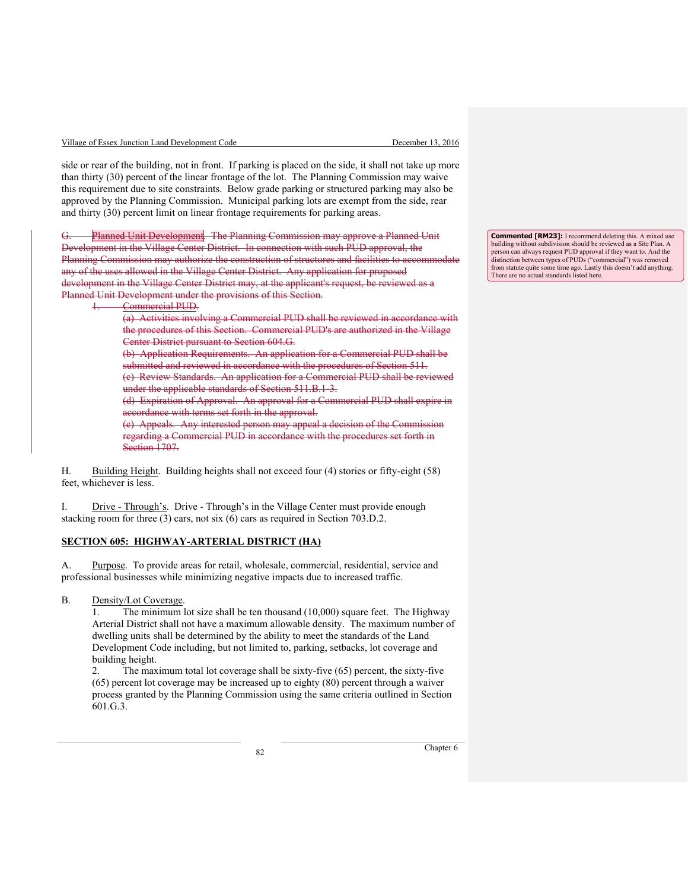| Village of Essex Junction Land Development Code |  |  |
|-------------------------------------------------|--|--|
|                                                 |  |  |

side or rear of the building, not in front. If parking is placed on the side, it shall not take up more than thirty (30) percent of the linear frontage of the lot. The Planning Commission may waive this requirement due to site constraints. Below grade parking or structured parking may also be approved by the Planning Commission. Municipal parking lots are exempt from the side, rear and thirty (30) percent limit on linear frontage requirements for parking areas.

Planned Unit Development. The Planning Commission may approve a Planned Unit Development in the Village Center District. In connection with such PUD approval, the Planning Commission may authorize the construction of structures and facilities to accommodate any of the uses allowed in the Village Center District. Any application for proposed development in the Village Center District may, at the applicant's request, be reviewed as a Planned Unit Development under the provisions of this Section.

1. Commercial PUD.

(a) Activities involving a Commercial PUD shall be reviewed in accordance with the procedures of this Section. Commercial PUD's are authorized in the Village Center District pursuant to Section 604.G.

(b) Application Requirements. An application for a Commercial PUD shall be submitted and reviewed in accordance with the procedures of Section 511. (c) Review Standards. An application for a Commercial PUD shall be reviewed under the applicable standards of Section 511.B.1-3.

(d) Expiration of Approval. An approval for a Commercial PUD shall expire in accordance with terms set forth in the approval.

(e) Appeals. Any interested person may appeal a decision of the Commission regarding a Commercial PUD in accordance with the procedures set forth in Section 1707.

H. Building Height. Building heights shall not exceed four (4) stories or fifty-eight (58) feet, whichever is less.

I. Drive - Through's. Drive - Through's in the Village Center must provide enough stacking room for three (3) cars, not six (6) cars as required in Section 703.D.2.

## **SECTION 605: HIGHWAY-ARTERIAL DISTRICT (HA)**

A. Purpose. To provide areas for retail, wholesale, commercial, residential, service and professional businesses while minimizing negative impacts due to increased traffic.

B. Density/Lot Coverage.

1. The minimum lot size shall be ten thousand (10,000) square feet. The Highway Arterial District shall not have a maximum allowable density. The maximum number of dwelling units shall be determined by the ability to meet the standards of the Land Development Code including, but not limited to, parking, setbacks, lot coverage and building height.

2. The maximum total lot coverage shall be sixty-five (65) percent, the sixty-five (65) percent lot coverage may be increased up to eighty (80) percent through a waiver process granted by the Planning Commission using the same criteria outlined in Section 601.G.3.

**Commented [RM23]:** I recommend deleting this. A mixed use building without subdivision should be reviewed as a Site Plan. A person can always request PUD approval if they want to. And the distinction between types of PUDs ("commercial") was removed from statute quite some time ago. Lastly this doesn't add anything. There are no actual standards listed here.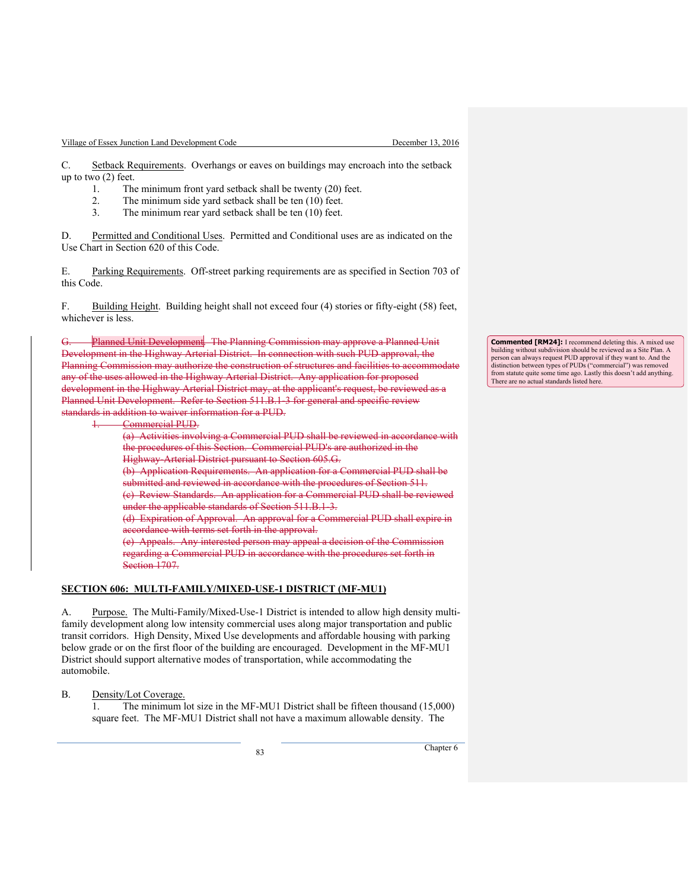C. Setback Requirements. Overhangs or eaves on buildings may encroach into the setback up to two (2) feet.

- 1. The minimum front yard setback shall be twenty (20) feet.
- 2. The minimum side yard setback shall be ten (10) feet.
- 3. The minimum rear yard setback shall be ten (10) feet.

D. Permitted and Conditional Uses. Permitted and Conditional uses are as indicated on the Use Chart in Section 620 of this Code.

E. Parking Requirements. Off-street parking requirements are as specified in Section 703 of this Code.

F. Building Height. Building height shall not exceed four (4) stories or fifty-eight (58) feet, whichever is less.

G. Planned Unit Development. The Planning Commission may approve a Planned Unit Development in the Highway Arterial District. In connection with such PUD approval, the Planning Commission may authorize the construction of structures and facilities to accommodate any of the uses allowed in the Highway Arterial District. Any application for proposed development in the Highway Arterial District may, at the applicant's request, be reviewed as a Planned Unit Development. Refer to Section 511.B.1-3 for general and specific review standards in addition to waiver information for a PUD.

1. Commercial PUD.

(a) Activities involving a Commercial PUD shall be reviewed in accordance with the procedures of this Section. Commercial PUD's are authorized in the Highway-Arterial District pursuant to Section 605.G. (b) Application Requirements. An application for a Commercial PUD shall be submitted and reviewed in accordance with the procedures of Section 511. (c) Review Standards. An application for a Commercial PUD shall be reviewed under the applicable standards of Section 511.B.1-3. (d) Expiration of Approval. An approval for a Commercial PUD shall expire in accordance with terms set forth in the approval. (e) Appeals. Any interested person may appeal a decision of the Commission

regarding a Commercial PUD in accordance with the procedures set forth in Section 1707.

#### **SECTION 606: MULTI-FAMILY/MIXED-USE-1 DISTRICT (MF-MU1)**

A. Purpose. The Multi-Family/Mixed-Use-1 District is intended to allow high density multifamily development along low intensity commercial uses along major transportation and public transit corridors. High Density, Mixed Use developments and affordable housing with parking below grade or on the first floor of the building are encouraged. Development in the MF-MU1 District should support alternative modes of transportation, while accommodating the automobile.

B. Density/Lot Coverage.

1. The minimum lot size in the MF-MU1 District shall be fifteen thousand (15,000) square feet. The MF-MU1 District shall not have a maximum allowable density. The

<sup>83</sup> Chapter 6

**Commented [RM24]:** I recommend deleting this. A mixed use building without subdivision should be reviewed as a Site Plan. A person can always request PUD approval if they want to. And the distinction between types of PUDs ("commercial") was removed from statute quite some time ago. Lastly this doesn't add anything. There are no actual standards listed here.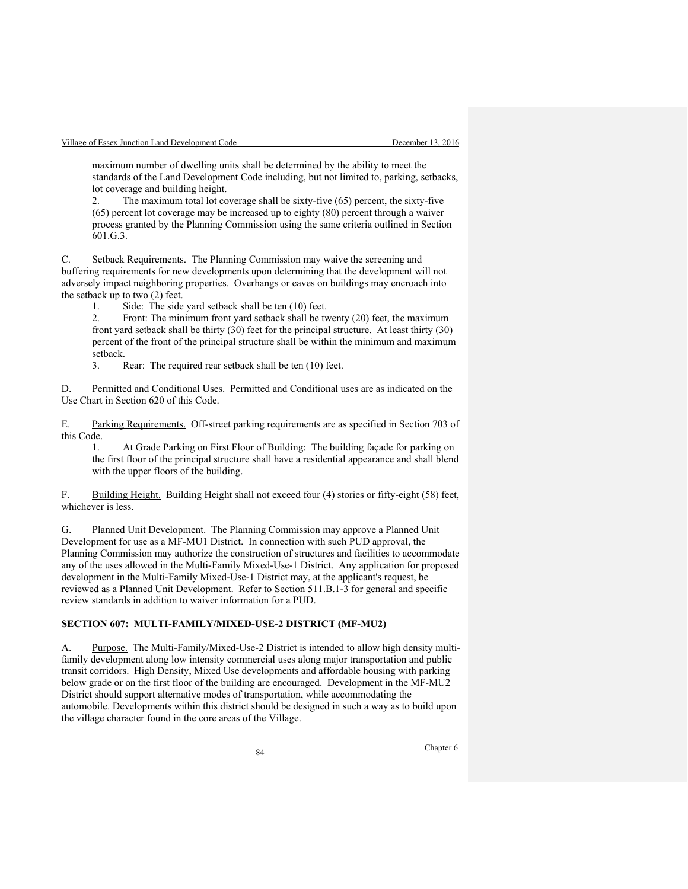maximum number of dwelling units shall be determined by the ability to meet the standards of the Land Development Code including, but not limited to, parking, setbacks, lot coverage and building height.

2. The maximum total lot coverage shall be sixty-five (65) percent, the sixty-five (65) percent lot coverage may be increased up to eighty (80) percent through a waiver process granted by the Planning Commission using the same criteria outlined in Section 601.G.3.

C. Setback Requirements. The Planning Commission may waive the screening and buffering requirements for new developments upon determining that the development will not adversely impact neighboring properties. Overhangs or eaves on buildings may encroach into the setback up to two (2) feet.

1. Side: The side yard setback shall be ten (10) feet.

2. Front: The minimum front yard setback shall be twenty (20) feet, the maximum front yard setback shall be thirty (30) feet for the principal structure. At least thirty (30) percent of the front of the principal structure shall be within the minimum and maximum setback.

3. Rear: The required rear setback shall be ten (10) feet.

D. Permitted and Conditional Uses. Permitted and Conditional uses are as indicated on the Use Chart in Section 620 of this Code.

E. Parking Requirements. Off-street parking requirements are as specified in Section 703 of this Code.

1. At Grade Parking on First Floor of Building: The building façade for parking on the first floor of the principal structure shall have a residential appearance and shall blend with the upper floors of the building.

F. Building Height. Building Height shall not exceed four (4) stories or fifty-eight (58) feet, whichever is less.

G. Planned Unit Development. The Planning Commission may approve a Planned Unit Development for use as a MF-MU1 District. In connection with such PUD approval, the Planning Commission may authorize the construction of structures and facilities to accommodate any of the uses allowed in the Multi-Family Mixed-Use-1 District. Any application for proposed development in the Multi-Family Mixed-Use-1 District may, at the applicant's request, be reviewed as a Planned Unit Development. Refer to Section 511.B.1-3 for general and specific review standards in addition to waiver information for a PUD.

#### **SECTION 607: MULTI-FAMILY/MIXED-USE-2 DISTRICT (MF-MU2)**

A. Purpose. The Multi-Family/Mixed-Use-2 District is intended to allow high density multifamily development along low intensity commercial uses along major transportation and public transit corridors. High Density, Mixed Use developments and affordable housing with parking below grade or on the first floor of the building are encouraged. Development in the MF-MU2 District should support alternative modes of transportation, while accommodating the automobile. Developments within this district should be designed in such a way as to build upon the village character found in the core areas of the Village.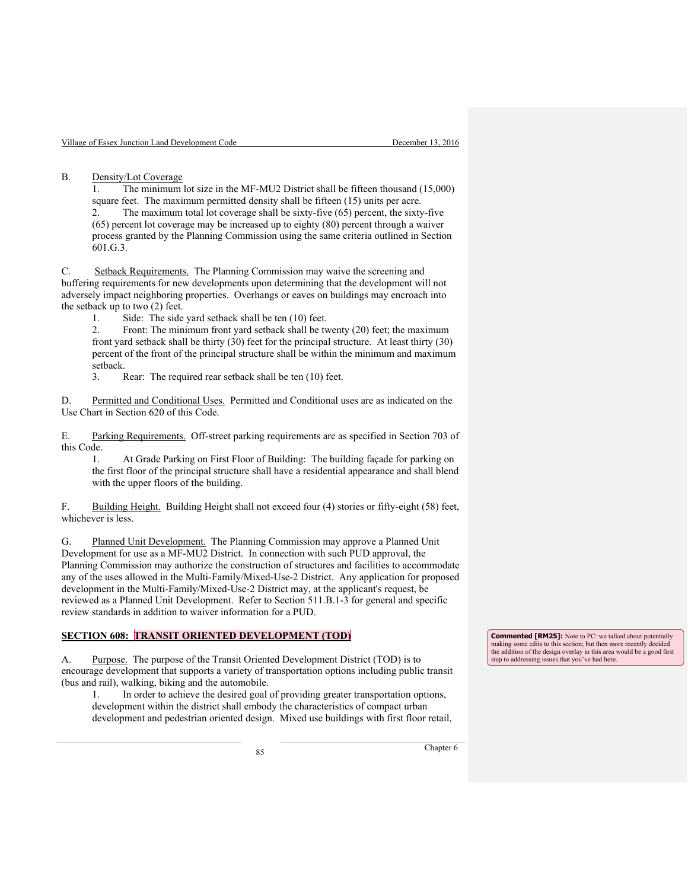B. Density/Lot Coverage

1. The minimum lot size in the MF-MU2 District shall be fifteen thousand (15,000) square feet. The maximum permitted density shall be fifteen (15) units per acre. 2. The maximum total lot coverage shall be sixty-five (65) percent, the sixty-five (65) percent lot coverage may be increased up to eighty (80) percent through a waiver

process granted by the Planning Commission using the same criteria outlined in Section 601.G.3.

C. Setback Requirements. The Planning Commission may waive the screening and buffering requirements for new developments upon determining that the development will not adversely impact neighboring properties. Overhangs or eaves on buildings may encroach into the setback up to two (2) feet.

1. Side: The side yard setback shall be ten (10) feet.

2. Front: The minimum front yard setback shall be twenty (20) feet; the maximum front yard setback shall be thirty (30) feet for the principal structure. At least thirty (30) percent of the front of the principal structure shall be within the minimum and maximum setback.

3. Rear: The required rear setback shall be ten (10) feet.

D. Permitted and Conditional Uses. Permitted and Conditional uses are as indicated on the Use Chart in Section 620 of this Code.

E. Parking Requirements. Off-street parking requirements are as specified in Section 703 of this Code.

1. At Grade Parking on First Floor of Building: The building façade for parking on the first floor of the principal structure shall have a residential appearance and shall blend with the upper floors of the building.

F. Building Height. Building Height shall not exceed four (4) stories or fifty-eight (58) feet, whichever is less.

G. Planned Unit Development. The Planning Commission may approve a Planned Unit Development for use as a MF-MU2 District. In connection with such PUD approval, the Planning Commission may authorize the construction of structures and facilities to accommodate any of the uses allowed in the Multi-Family/Mixed-Use-2 District. Any application for proposed development in the Multi-Family/Mixed-Use-2 District may, at the applicant's request, be reviewed as a Planned Unit Development. Refer to Section 511.B.1-3 for general and specific review standards in addition to waiver information for a PUD.

## **SECTION 608: TRANSIT ORIENTED DEVELOPMENT (TOD)**

A. Purpose. The purpose of the Transit Oriented Development District (TOD) is to encourage development that supports a variety of transportation options including public transit (bus and rail), walking, biking and the automobile.

1. In order to achieve the desired goal of providing greater transportation options, development within the district shall embody the characteristics of compact urban development and pedestrian oriented design. Mixed use buildings with first floor retail,

**Commented [RM25]:** Note to PC: we talked about potentially making some edits to this section; but then more recently decided the addition of the design overlay in this area would be a good first step to addressing issues that you've had here.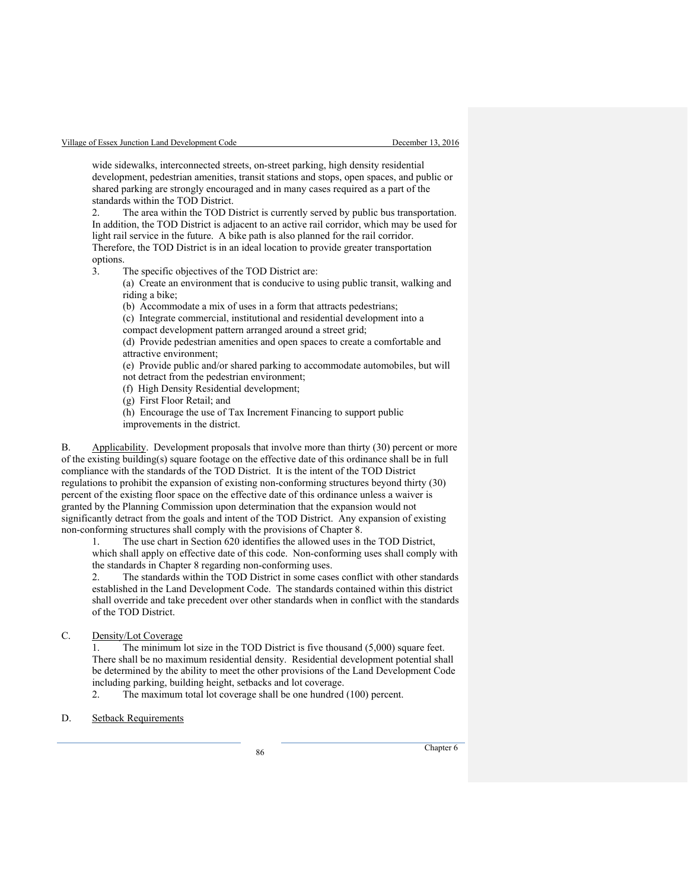wide sidewalks, interconnected streets, on-street parking, high density residential development, pedestrian amenities, transit stations and stops, open spaces, and public or shared parking are strongly encouraged and in many cases required as a part of the standards within the TOD District.

2. The area within the TOD District is currently served by public bus transportation. In addition, the TOD District is adjacent to an active rail corridor, which may be used for light rail service in the future. A bike path is also planned for the rail corridor. Therefore, the TOD District is in an ideal location to provide greater transportation options.

3. The specific objectives of the TOD District are:

(a) Create an environment that is conducive to using public transit, walking and riding a bike;

(b) Accommodate a mix of uses in a form that attracts pedestrians;

(c) Integrate commercial, institutional and residential development into a

compact development pattern arranged around a street grid;

(d) Provide pedestrian amenities and open spaces to create a comfortable and attractive environment;

(e) Provide public and/or shared parking to accommodate automobiles, but will

not detract from the pedestrian environment;

(f) High Density Residential development;

(g) First Floor Retail; and

(h) Encourage the use of Tax Increment Financing to support public

improvements in the district.

B. Applicability. Development proposals that involve more than thirty (30) percent or more of the existing building(s) square footage on the effective date of this ordinance shall be in full compliance with the standards of the TOD District. It is the intent of the TOD District regulations to prohibit the expansion of existing non-conforming structures beyond thirty (30) percent of the existing floor space on the effective date of this ordinance unless a waiver is granted by the Planning Commission upon determination that the expansion would not significantly detract from the goals and intent of the TOD District. Any expansion of existing non-conforming structures shall comply with the provisions of Chapter 8.

1. The use chart in Section 620 identifies the allowed uses in the TOD District, which shall apply on effective date of this code. Non-conforming uses shall comply with the standards in Chapter 8 regarding non-conforming uses.

2. The standards within the TOD District in some cases conflict with other standards established in the Land Development Code. The standards contained within this district shall override and take precedent over other standards when in conflict with the standards of the TOD District.

C. Density/Lot Coverage

1. The minimum lot size in the TOD District is five thousand (5,000) square feet. There shall be no maximum residential density. Residential development potential shall be determined by the ability to meet the other provisions of the Land Development Code including parking, building height, setbacks and lot coverage.

2. The maximum total lot coverage shall be one hundred (100) percent.

D. Setback Requirements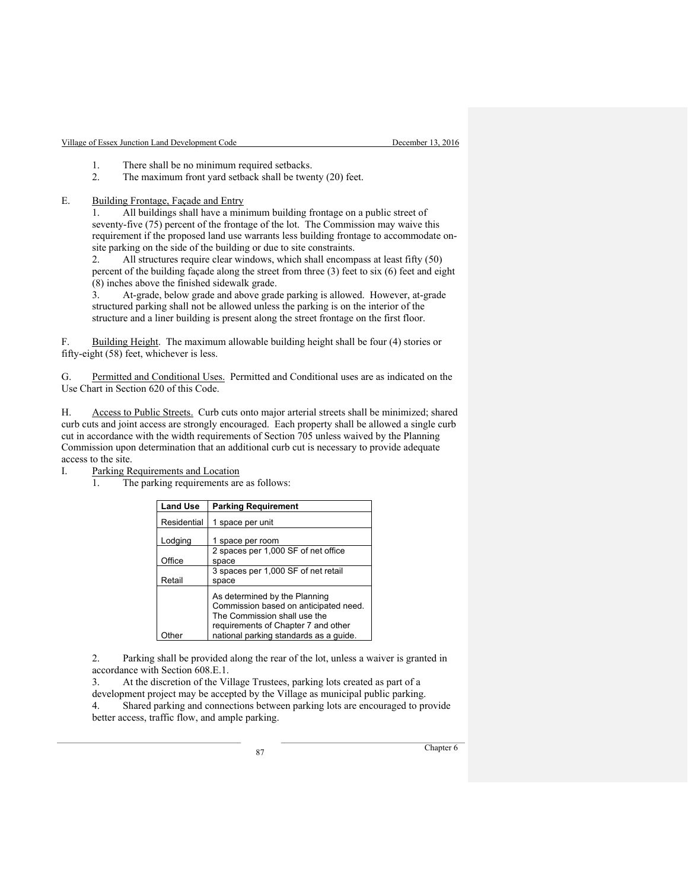- 1. There shall be no minimum required setbacks.<br>2. The maximum front yard setback shall be twee
- The maximum front yard setback shall be twenty (20) feet.

E. Building Frontage, Façade and Entry

1. All buildings shall have a minimum building frontage on a public street of seventy-five (75) percent of the frontage of the lot. The Commission may waive this requirement if the proposed land use warrants less building frontage to accommodate onsite parking on the side of the building or due to site constraints.

2. All structures require clear windows, which shall encompass at least fifty (50) percent of the building façade along the street from three (3) feet to six (6) feet and eight (8) inches above the finished sidewalk grade.

3. At-grade, below grade and above grade parking is allowed. However, at-grade structured parking shall not be allowed unless the parking is on the interior of the structure and a liner building is present along the street frontage on the first floor.

F. Building Height. The maximum allowable building height shall be four (4) stories or fifty-eight (58) feet, whichever is less.

G. Permitted and Conditional Uses. Permitted and Conditional uses are as indicated on the Use Chart in Section 620 of this Code.

H. Access to Public Streets. Curb cuts onto major arterial streets shall be minimized; shared curb cuts and joint access are strongly encouraged. Each property shall be allowed a single curb cut in accordance with the width requirements of Section 705 unless waived by the Planning Commission upon determination that an additional curb cut is necessary to provide adequate access to the site.

I. Parking Requirements and Location

1. The parking requirements are as follows:

| <b>Land Use</b> | <b>Parking Requirement</b>                                                                                                                    |
|-----------------|-----------------------------------------------------------------------------------------------------------------------------------------------|
| Residential     | 1 space per unit                                                                                                                              |
| Lodging         | 1 space per room                                                                                                                              |
|                 | 2 spaces per 1,000 SF of net office                                                                                                           |
| Office          | space                                                                                                                                         |
|                 | 3 spaces per 1,000 SF of net retail                                                                                                           |
| Retail          | space                                                                                                                                         |
|                 | As determined by the Planning<br>Commission based on anticipated need.<br>The Commission shall use the<br>requirements of Chapter 7 and other |
|                 | national parking standards as a quide.                                                                                                        |

2. Parking shall be provided along the rear of the lot, unless a waiver is granted in accordance with Section 608.E.1.

3. At the discretion of the Village Trustees, parking lots created as part of a development project may be accepted by the Village as municipal public parking. 4. Shared parking and connections between parking lots are encouraged to provide better access, traffic flow, and ample parking.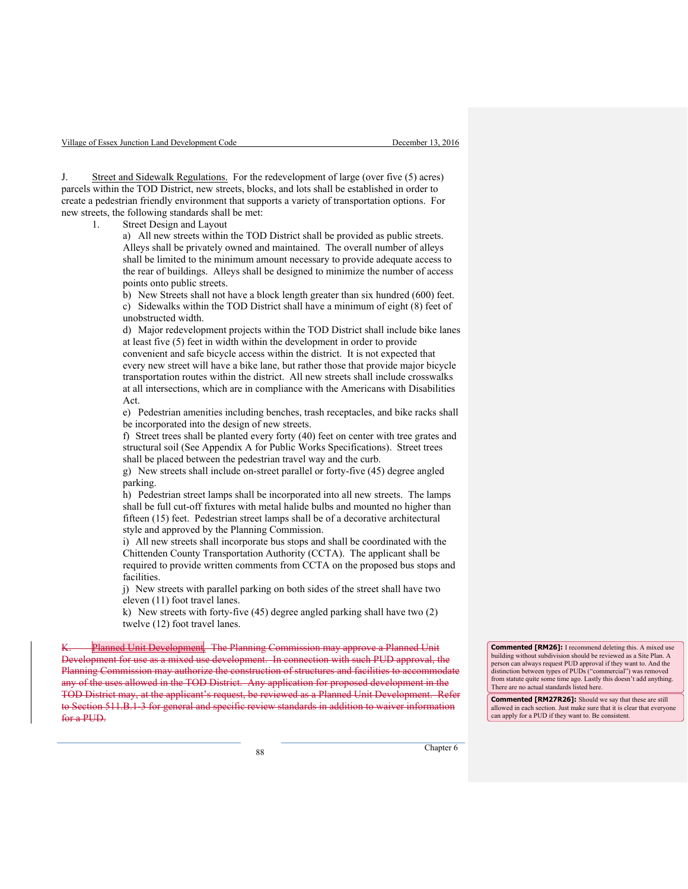J. Street and Sidewalk Regulations. For the redevelopment of large (over five (5) acres) parcels within the TOD District, new streets, blocks, and lots shall be established in order to create a pedestrian friendly environment that supports a variety of transportation options. For new streets, the following standards shall be met:

1. Street Design and Layout

a) All new streets within the TOD District shall be provided as public streets. Alleys shall be privately owned and maintained. The overall number of alleys shall be limited to the minimum amount necessary to provide adequate access to the rear of buildings. Alleys shall be designed to minimize the number of access points onto public streets.

b) New Streets shall not have a block length greater than six hundred (600) feet. c) Sidewalks within the TOD District shall have a minimum of eight (8) feet of unobstructed width.

d) Major redevelopment projects within the TOD District shall include bike lanes at least five (5) feet in width within the development in order to provide

convenient and safe bicycle access within the district. It is not expected that every new street will have a bike lane, but rather those that provide major bicycle transportation routes within the district. All new streets shall include crosswalks at all intersections, which are in compliance with the Americans with Disabilities Act.

e) Pedestrian amenities including benches, trash receptacles, and bike racks shall be incorporated into the design of new streets.

f) Street trees shall be planted every forty (40) feet on center with tree grates and structural soil (See Appendix A for Public Works Specifications). Street trees shall be placed between the pedestrian travel way and the curb.

g) New streets shall include on-street parallel or forty-five (45) degree angled parking.

h) Pedestrian street lamps shall be incorporated into all new streets. The lamps shall be full cut-off fixtures with metal halide bulbs and mounted no higher than fifteen (15) feet. Pedestrian street lamps shall be of a decorative architectural style and approved by the Planning Commission.

i) All new streets shall incorporate bus stops and shall be coordinated with the Chittenden County Transportation Authority (CCTA). The applicant shall be required to provide written comments from CCTA on the proposed bus stops and facilities.

j) New streets with parallel parking on both sides of the street shall have two eleven (11) foot travel lanes.

k) New streets with forty-five (45) degree angled parking shall have two (2) twelve (12) foot travel lanes.

The Planning Commission may approve a Planned Unit ppment for use as a mixed use development. In connection with such PUD approval, the Planning Commission may authorize the construction of structures and facilities to accommodate any of the uses allowed in the TOD District. Any application for proposed development in the TOD District may, at the applicant's request, be reviewed as a Planned Unit Development. Refer to Section 511.B.1-3 for general and specific review standards in addition to waiver information for a PUD.

**Commented [RM26]:** I recommend deleting this. A mixed use building without subdivision should be reviewed as a Site Plan. A person can always request PUD approval if they want to. And the distinction between types of PUDs ("commercial") was removed from statute quite some time ago. Lastly this doesn't add anything. There are no actual standards listed here.

**Commented [RM27R26]:** Should we say that these are still allowed in each section. Just make sure that it is clear that everyone can apply for a PUD if they want to. Be consistent.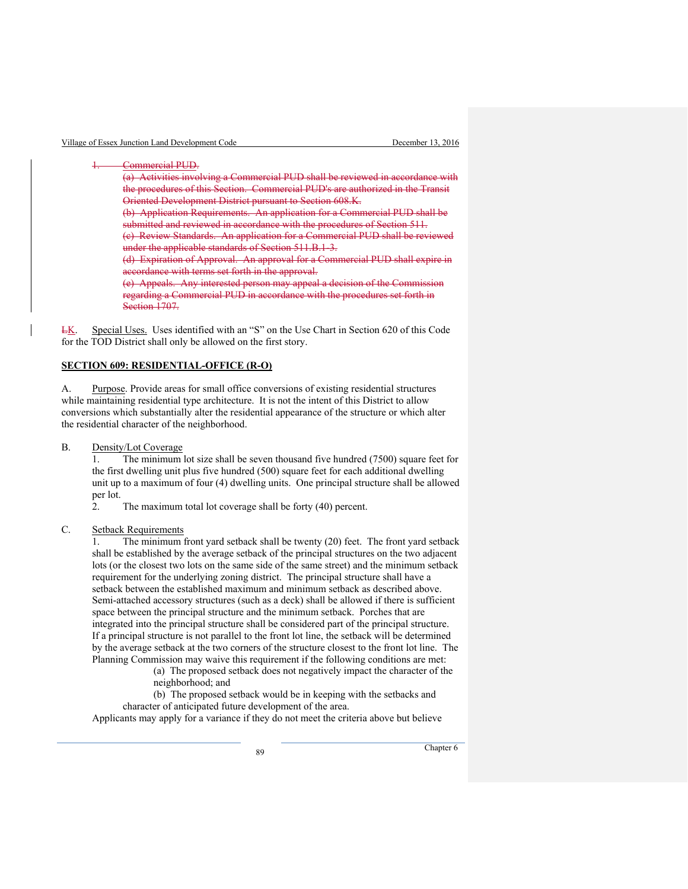Commercial PUD. (a) Activities involving a Commercial PUD shall be reviewed in accordance with the procedures of this Section. Commercial PUD's are authorized in the Transit Oriented Development District pursuant to Section 608.K. (b) Application Requirements. An application for a Commercial PUD shall be submitted and reviewed in accordance with the procedures of Section 511. (c) Review Standards. An application for a Commercial PUD shall be reviewed under the applicable standards of Section 511.B.1-3. (d) Expiration of Approval. An approval for a Commercial PUD shall expire in accordance with terms set forth in the approval. (e) Appeals. Any interested person may appeal a decision of the Commission regarding a Commercial PUD in accordance with the procedures set forth in Section 1707.

LK. Special Uses. Uses identified with an "S" on the Use Chart in Section 620 of this Code for the TOD District shall only be allowed on the first story.

#### **SECTION 609: RESIDENTIAL-OFFICE (R-O)**

A. Purpose. Provide areas for small office conversions of existing residential structures while maintaining residential type architecture. It is not the intent of this District to allow conversions which substantially alter the residential appearance of the structure or which alter the residential character of the neighborhood.

B. Density/Lot Coverage

1. The minimum lot size shall be seven thousand five hundred (7500) square feet for the first dwelling unit plus five hundred (500) square feet for each additional dwelling unit up to a maximum of four (4) dwelling units. One principal structure shall be allowed per lot.

2. The maximum total lot coverage shall be forty (40) percent.

#### C. Setback Requirements

1. The minimum front yard setback shall be twenty (20) feet. The front yard setback shall be established by the average setback of the principal structures on the two adjacent lots (or the closest two lots on the same side of the same street) and the minimum setback requirement for the underlying zoning district. The principal structure shall have a setback between the established maximum and minimum setback as described above. Semi-attached accessory structures (such as a deck) shall be allowed if there is sufficient space between the principal structure and the minimum setback. Porches that are integrated into the principal structure shall be considered part of the principal structure. If a principal structure is not parallel to the front lot line, the setback will be determined by the average setback at the two corners of the structure closest to the front lot line. The Planning Commission may waive this requirement if the following conditions are met:

(a) The proposed setback does not negatively impact the character of the neighborhood; and

 (b) The proposed setback would be in keeping with the setbacks and character of anticipated future development of the area.

Applicants may apply for a variance if they do not meet the criteria above but believe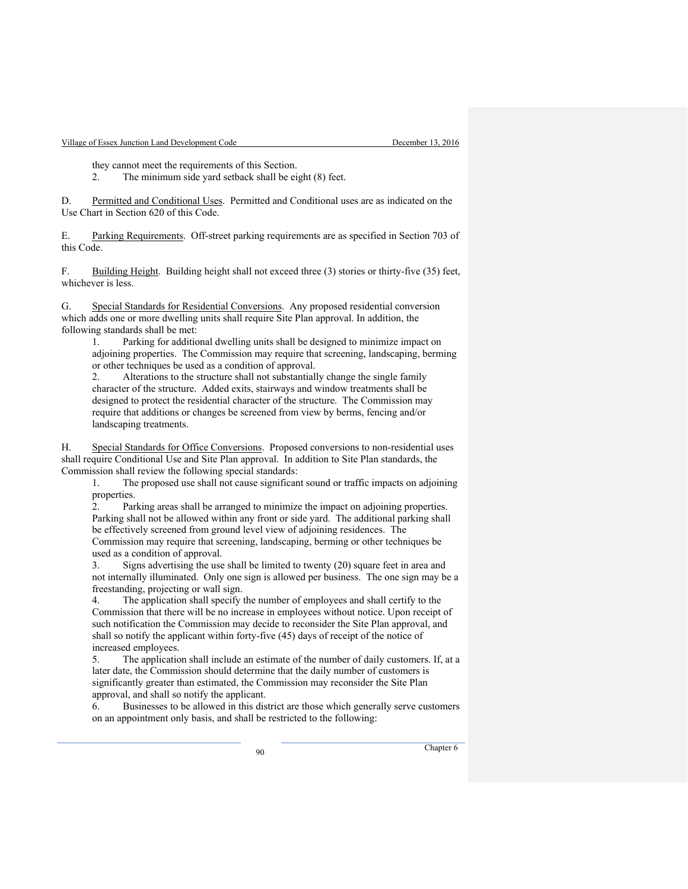they cannot meet the requirements of this Section.

2. The minimum side yard setback shall be eight (8) feet.

D. Permitted and Conditional Uses. Permitted and Conditional uses are as indicated on the Use Chart in Section 620 of this Code.

E. Parking Requirements. Off-street parking requirements are as specified in Section 703 of this Code.

F. Building Height. Building height shall not exceed three (3) stories or thirty-five (35) feet, whichever is less.

G. Special Standards for Residential Conversions. Any proposed residential conversion which adds one or more dwelling units shall require Site Plan approval. In addition, the following standards shall be met:

1. Parking for additional dwelling units shall be designed to minimize impact on adjoining properties. The Commission may require that screening, landscaping, berming or other techniques be used as a condition of approval.

2. Alterations to the structure shall not substantially change the single family character of the structure. Added exits, stairways and window treatments shall be designed to protect the residential character of the structure. The Commission may require that additions or changes be screened from view by berms, fencing and/or landscaping treatments.

H. Special Standards for Office Conversions. Proposed conversions to non-residential uses shall require Conditional Use and Site Plan approval. In addition to Site Plan standards, the Commission shall review the following special standards:

1. The proposed use shall not cause significant sound or traffic impacts on adjoining properties.

2. Parking areas shall be arranged to minimize the impact on adjoining properties. Parking shall not be allowed within any front or side yard. The additional parking shall be effectively screened from ground level view of adjoining residences. The Commission may require that screening, landscaping, berming or other techniques be used as a condition of approval.

3. Signs advertising the use shall be limited to twenty (20) square feet in area and not internally illuminated. Only one sign is allowed per business. The one sign may be a freestanding, projecting or wall sign.

4. The application shall specify the number of employees and shall certify to the Commission that there will be no increase in employees without notice. Upon receipt of such notification the Commission may decide to reconsider the Site Plan approval, and shall so notify the applicant within forty-five (45) days of receipt of the notice of increased employees.

5. The application shall include an estimate of the number of daily customers. If, at a later date, the Commission should determine that the daily number of customers is significantly greater than estimated, the Commission may reconsider the Site Plan approval, and shall so notify the applicant.

6. Businesses to be allowed in this district are those which generally serve customers on an appointment only basis, and shall be restricted to the following: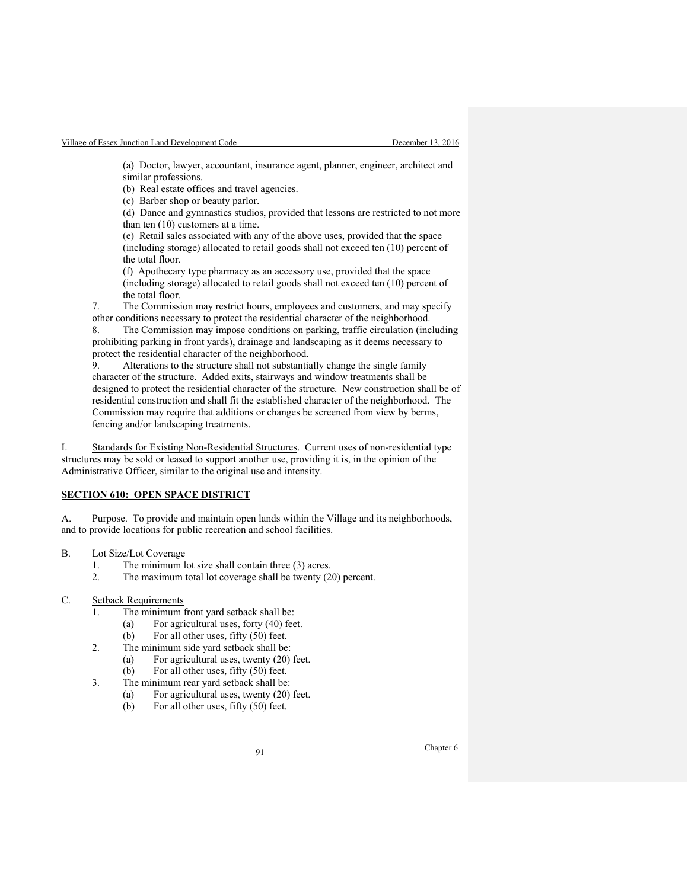(a) Doctor, lawyer, accountant, insurance agent, planner, engineer, architect and similar professions.

(b) Real estate offices and travel agencies.

(c) Barber shop or beauty parlor.

(d) Dance and gymnastics studios, provided that lessons are restricted to not more than ten (10) customers at a time.

(e) Retail sales associated with any of the above uses, provided that the space (including storage) allocated to retail goods shall not exceed ten (10) percent of the total floor.

(f) Apothecary type pharmacy as an accessory use, provided that the space (including storage) allocated to retail goods shall not exceed ten (10) percent of the total floor.

7. The Commission may restrict hours, employees and customers, and may specify other conditions necessary to protect the residential character of the neighborhood.

8. The Commission may impose conditions on parking, traffic circulation (including prohibiting parking in front yards), drainage and landscaping as it deems necessary to protect the residential character of the neighborhood.

9. Alterations to the structure shall not substantially change the single family character of the structure. Added exits, stairways and window treatments shall be designed to protect the residential character of the structure. New construction shall be of residential construction and shall fit the established character of the neighborhood. The Commission may require that additions or changes be screened from view by berms, fencing and/or landscaping treatments.

I. Standards for Existing Non-Residential Structures. Current uses of non-residential type structures may be sold or leased to support another use, providing it is, in the opinion of the Administrative Officer, similar to the original use and intensity.

## **SECTION 610: OPEN SPACE DISTRICT**

A. Purpose. To provide and maintain open lands within the Village and its neighborhoods, and to provide locations for public recreation and school facilities.

- B. Lot Size/Lot Coverage
	- 1. The minimum lot size shall contain three (3) acres.<br>2. The maximum total lot coverage shall be twenty (2)
	- The maximum total lot coverage shall be twenty (20) percent.
- C. Setback Requirements
	- 1. The minimum front yard setback shall be:
		- (a) For agricultural uses, forty (40) feet.
		- (b) For all other uses, fifty (50) feet.
	- 2. The minimum side yard setback shall be:
		- (a) For agricultural uses, twenty (20) feet.
		- (b) For all other uses, fifty (50) feet.
	- 3. The minimum rear yard setback shall be:
		- (a) For agricultural uses, twenty (20) feet.
			- (b) For all other uses, fifty (50) feet.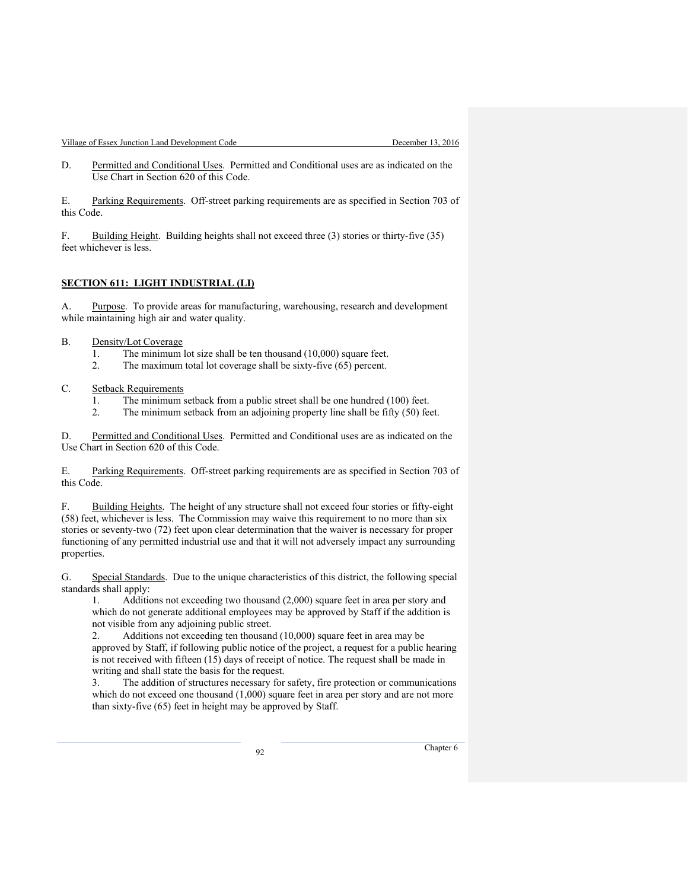Village of Essex Junction Land Development Code December 13, 2016

D. Permitted and Conditional Uses. Permitted and Conditional uses are as indicated on the Use Chart in Section 620 of this Code.

E. Parking Requirements. Off-street parking requirements are as specified in Section 703 of this Code.

F. Building Height. Building heights shall not exceed three (3) stories or thirty-five (35) feet whichever is less.

#### **SECTION 611: LIGHT INDUSTRIAL (LI)**

A. Purpose. To provide areas for manufacturing, warehousing, research and development while maintaining high air and water quality.

#### B. Density/Lot Coverage

- 1. The minimum lot size shall be ten thousand (10,000) square feet.
- 2. The maximum total lot coverage shall be sixty-five (65) percent.

## C. Setback Requirements

- 1. The minimum setback from a public street shall be one hundred (100) feet.
- 2. The minimum setback from an adjoining property line shall be fifty (50) feet.

D. Permitted and Conditional Uses. Permitted and Conditional uses are as indicated on the Use Chart in Section 620 of this Code.

E. Parking Requirements. Off-street parking requirements are as specified in Section 703 of this Code.

F. Building Heights. The height of any structure shall not exceed four stories or fifty-eight (58) feet, whichever is less. The Commission may waive this requirement to no more than six stories or seventy-two (72) feet upon clear determination that the waiver is necessary for proper functioning of any permitted industrial use and that it will not adversely impact any surrounding properties.

G. Special Standards. Due to the unique characteristics of this district, the following special standards shall apply:

1. Additions not exceeding two thousand (2,000) square feet in area per story and which do not generate additional employees may be approved by Staff if the addition is not visible from any adjoining public street.

2. Additions not exceeding ten thousand (10,000) square feet in area may be approved by Staff, if following public notice of the project, a request for a public hearing is not received with fifteen (15) days of receipt of notice. The request shall be made in writing and shall state the basis for the request.

3. The addition of structures necessary for safety, fire protection or communications which do not exceed one thousand (1,000) square feet in area per story and are not more than sixty-five (65) feet in height may be approved by Staff.

example 20 Chapter 6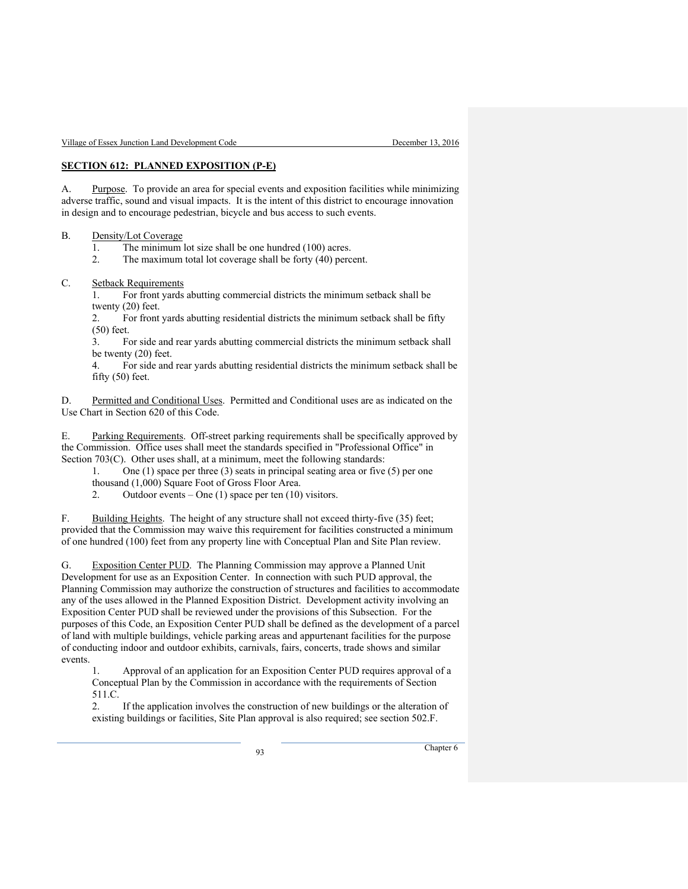## **SECTION 612: PLANNED EXPOSITION (P-E)**

A. Purpose. To provide an area for special events and exposition facilities while minimizing adverse traffic, sound and visual impacts. It is the intent of this district to encourage innovation in design and to encourage pedestrian, bicycle and bus access to such events.

#### B. Density/Lot Coverage

1. The minimum lot size shall be one hundred (100) acres.<br>2. The maximum total lot coverage shall be forty (40) perc

The maximum total lot coverage shall be forty (40) percent.

#### C. Setback Requirements

1. For front yards abutting commercial districts the minimum setback shall be twenty (20) feet.

2. For front yards abutting residential districts the minimum setback shall be fifty (50) feet.

3. For side and rear yards abutting commercial districts the minimum setback shall be twenty (20) feet.

4. For side and rear yards abutting residential districts the minimum setback shall be fifty (50) feet.

D. Permitted and Conditional Uses. Permitted and Conditional uses are as indicated on the Use Chart in Section 620 of this Code.

E. Parking Requirements. Off-street parking requirements shall be specifically approved by the Commission. Office uses shall meet the standards specified in "Professional Office" in Section 703(C). Other uses shall, at a minimum, meet the following standards:

1. One (1) space per three (3) seats in principal seating area or five (5) per one thousand (1,000) Square Foot of Gross Floor Area.

2. Outdoor events – One  $(1)$  space per ten  $(10)$  visitors.

F. Building Heights. The height of any structure shall not exceed thirty-five (35) feet; provided that the Commission may waive this requirement for facilities constructed a minimum of one hundred (100) feet from any property line with Conceptual Plan and Site Plan review.

G. Exposition Center PUD. The Planning Commission may approve a Planned Unit Development for use as an Exposition Center. In connection with such PUD approval, the Planning Commission may authorize the construction of structures and facilities to accommodate any of the uses allowed in the Planned Exposition District. Development activity involving an Exposition Center PUD shall be reviewed under the provisions of this Subsection. For the purposes of this Code, an Exposition Center PUD shall be defined as the development of a parcel of land with multiple buildings, vehicle parking areas and appurtenant facilities for the purpose of conducting indoor and outdoor exhibits, carnivals, fairs, concerts, trade shows and similar events.

1. Approval of an application for an Exposition Center PUD requires approval of a Conceptual Plan by the Commission in accordance with the requirements of Section 511.C.

2. If the application involves the construction of new buildings or the alteration of existing buildings or facilities, Site Plan approval is also required; see section 502.F.

example of the Chapter 6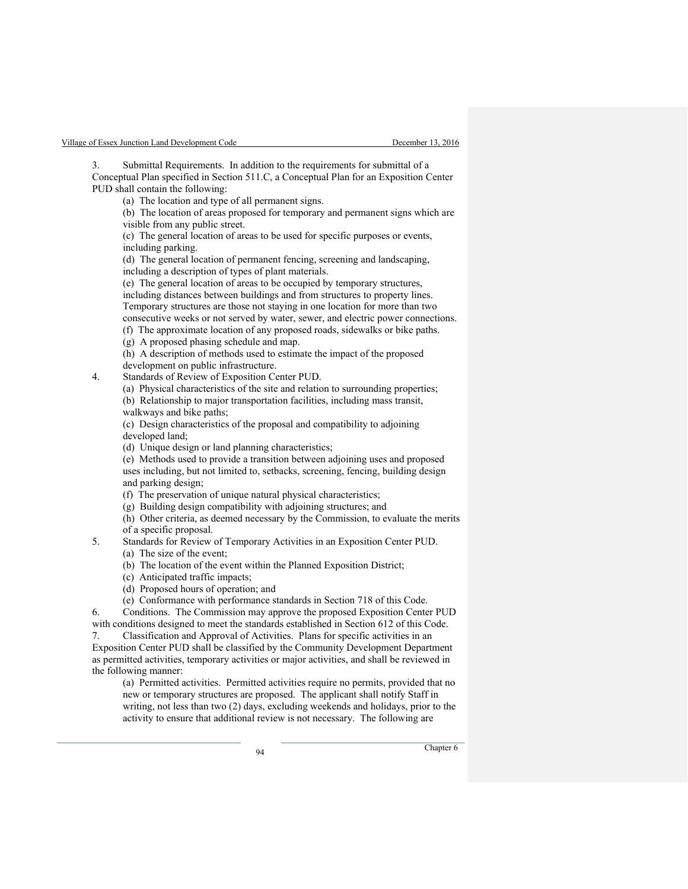Submittal Requirements. In addition to the requirements for submittal of a Conceptual Plan specified in Section 511.C, a Conceptual Plan for an Exposition Center PUD shall contain the following:

(a) The location and type of all permanent signs.

(b) The location of areas proposed for temporary and permanent signs which are visible from any public street.

(c) The general location of areas to be used for specific purposes or events, including parking.

(d) The general location of permanent fencing, screening and landscaping, including a description of types of plant materials.

(e) The general location of areas to be occupied by temporary structures, including distances between buildings and from structures to property lines. Temporary structures are those not staying in one location for more than two consecutive weeks or not served by water, sewer, and electric power connections. (f) The approximate location of any proposed roads, sidewalks or bike paths.

(g) A proposed phasing schedule and map.

(h) A description of methods used to estimate the impact of the proposed development on public infrastructure.

4. Standards of Review of Exposition Center PUD.

(a) Physical characteristics of the site and relation to surrounding properties;

(b) Relationship to major transportation facilities, including mass transit,

walkways and bike paths;

(c) Design characteristics of the proposal and compatibility to adjoining developed land;

(d) Unique design or land planning characteristics;

(e) Methods used to provide a transition between adjoining uses and proposed uses including, but not limited to, setbacks, screening, fencing, building design and parking design;

(f) The preservation of unique natural physical characteristics;

(g) Building design compatibility with adjoining structures; and

(h) Other criteria, as deemed necessary by the Commission, to evaluate the merits of a specific proposal.

5. Standards for Review of Temporary Activities in an Exposition Center PUD.

(a) The size of the event;

(b) The location of the event within the Planned Exposition District;

(c) Anticipated traffic impacts;

(d) Proposed hours of operation; and

(e) Conformance with performance standards in Section 718 of this Code.

6. Conditions. The Commission may approve the proposed Exposition Center PUD with conditions designed to meet the standards established in Section 612 of this Code.

7. Classification and Approval of Activities. Plans for specific activities in an Exposition Center PUD shall be classified by the Community Development Department as permitted activities, temporary activities or major activities, and shall be reviewed in the following manner:

(a) Permitted activities. Permitted activities require no permits, provided that no new or temporary structures are proposed. The applicant shall notify Staff in writing, not less than two (2) days, excluding weekends and holidays, prior to the activity to ensure that additional review is not necessary. The following are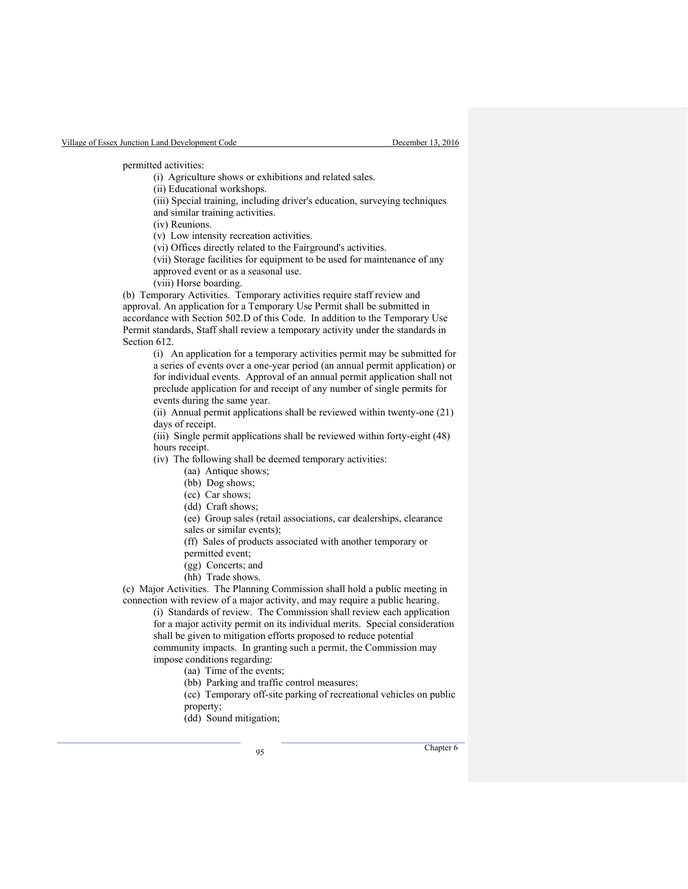permitted activities:

(i) Agriculture shows or exhibitions and related sales.

(ii) Educational workshops.

(iii) Special training, including driver's education, surveying techniques

and similar training activities.

(iv) Reunions.

(v) Low intensity recreation activities.

(vi) Offices directly related to the Fairground's activities.

(vii) Storage facilities for equipment to be used for maintenance of any approved event or as a seasonal use.

(viii) Horse boarding.

(b) Temporary Activities. Temporary activities require staff review and approval. An application for a Temporary Use Permit shall be submitted in accordance with Section 502.D of this Code. In addition to the Temporary Use Permit standards, Staff shall review a temporary activity under the standards in Section 612.

(i) An application for a temporary activities permit may be submitted for a series of events over a one-year period (an annual permit application) or for individual events. Approval of an annual permit application shall not preclude application for and receipt of any number of single permits for events during the same year.

(ii) Annual permit applications shall be reviewed within twenty-one (21) days of receipt.

(iii) Single permit applications shall be reviewed within forty-eight (48) hours receipt.

(iv) The following shall be deemed temporary activities:

- (aa) Antique shows;
- (bb) Dog shows;
- (cc) Car shows;

(dd) Craft shows;

(ee) Group sales (retail associations, car dealerships, clearance sales or similar events);

(ff) Sales of products associated with another temporary or

permitted event;

(gg) Concerts; and

(hh) Trade shows.

(c) Major Activities. The Planning Commission shall hold a public meeting in connection with review of a major activity, and may require a public hearing.

(i) Standards of review. The Commission shall review each application for a major activity permit on its individual merits. Special consideration shall be given to mitigation efforts proposed to reduce potential community impacts. In granting such a permit, the Commission may impose conditions regarding:

(aa) Time of the events;

(bb) Parking and traffic control measures;

(cc) Temporary off-site parking of recreational vehicles on public property;

(dd) Sound mitigation;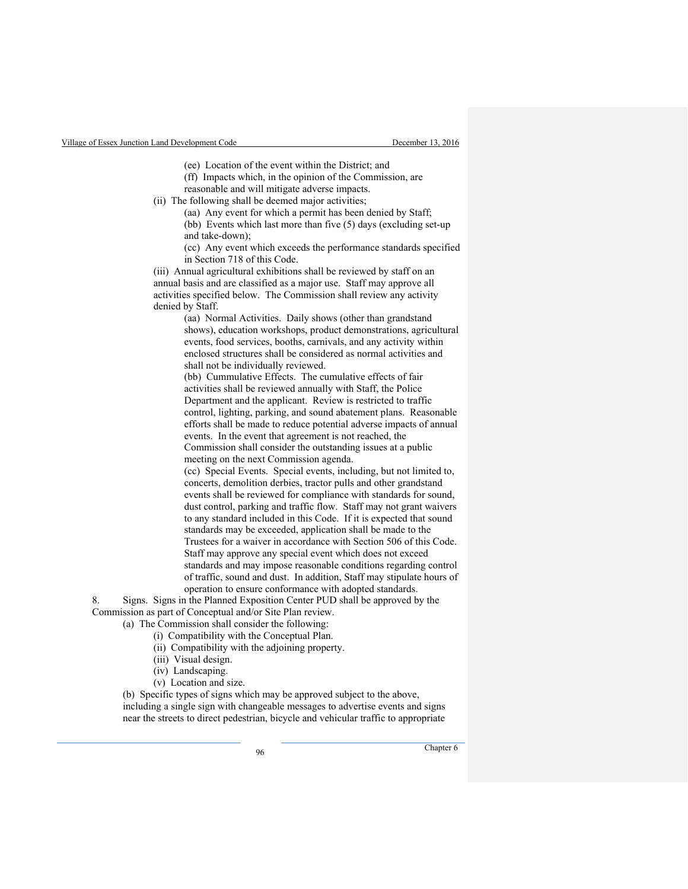(ee) Location of the event within the District; and

- (ff) Impacts which, in the opinion of the Commission, are reasonable and will mitigate adverse impacts.
- (ii) The following shall be deemed major activities;
	- (aa) Any event for which a permit has been denied by Staff; (bb) Events which last more than five (5) days (excluding set-up and take-down);

(cc) Any event which exceeds the performance standards specified in Section 718 of this Code.

(iii) Annual agricultural exhibitions shall be reviewed by staff on an annual basis and are classified as a major use. Staff may approve all activities specified below. The Commission shall review any activity denied by Staff.

> (aa) Normal Activities. Daily shows (other than grandstand shows), education workshops, product demonstrations, agricultural events, food services, booths, carnivals, and any activity within enclosed structures shall be considered as normal activities and shall not be individually reviewed.

> (bb) Cummulative Effects. The cumulative effects of fair activities shall be reviewed annually with Staff, the Police Department and the applicant. Review is restricted to traffic control, lighting, parking, and sound abatement plans. Reasonable efforts shall be made to reduce potential adverse impacts of annual events. In the event that agreement is not reached, the

Commission shall consider the outstanding issues at a public meeting on the next Commission agenda.

(cc) Special Events. Special events, including, but not limited to, concerts, demolition derbies, tractor pulls and other grandstand events shall be reviewed for compliance with standards for sound, dust control, parking and traffic flow. Staff may not grant waivers to any standard included in this Code. If it is expected that sound standards may be exceeded, application shall be made to the Trustees for a waiver in accordance with Section 506 of this Code. Staff may approve any special event which does not exceed standards and may impose reasonable conditions regarding control of traffic, sound and dust. In addition, Staff may stipulate hours of operation to ensure conformance with adopted standards.

8. Signs. Signs in the Planned Exposition Center PUD shall be approved by the Commission as part of Conceptual and/or Site Plan review.

(a) The Commission shall consider the following:

- (i) Compatibility with the Conceptual Plan.
- (ii) Compatibility with the adjoining property.
- (iii) Visual design.
- (iv) Landscaping.
- (v) Location and size.

(b) Specific types of signs which may be approved subject to the above, including a single sign with changeable messages to advertise events and signs near the streets to direct pedestrian, bicycle and vehicular traffic to appropriate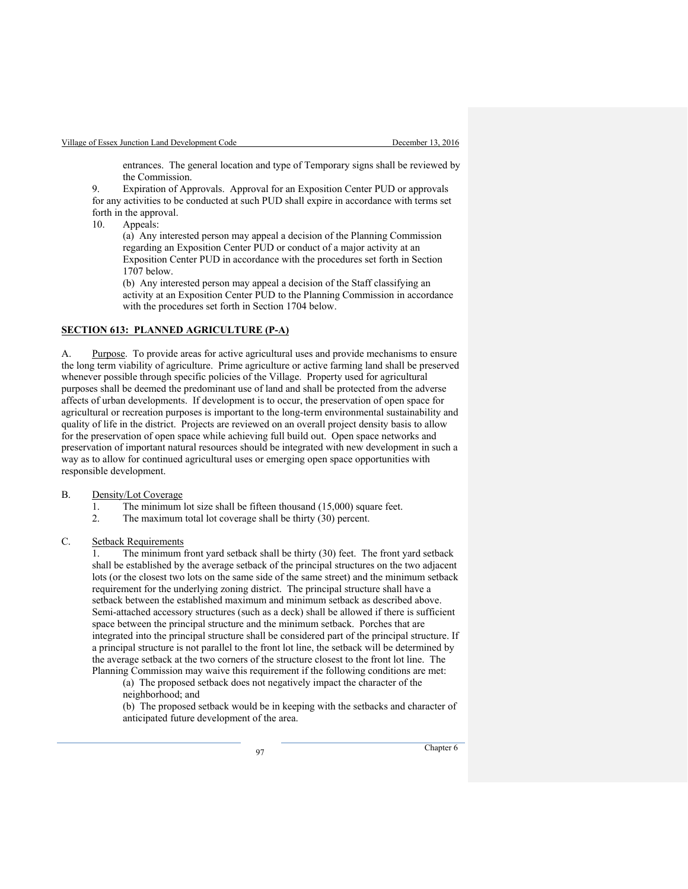entrances. The general location and type of Temporary signs shall be reviewed by the Commission.

9. Expiration of Approvals. Approval for an Exposition Center PUD or approvals for any activities to be conducted at such PUD shall expire in accordance with terms set forth in the approval.

10. Appeals:

(a) Any interested person may appeal a decision of the Planning Commission regarding an Exposition Center PUD or conduct of a major activity at an Exposition Center PUD in accordance with the procedures set forth in Section 1707 below.

(b) Any interested person may appeal a decision of the Staff classifying an activity at an Exposition Center PUD to the Planning Commission in accordance with the procedures set forth in Section 1704 below.

## **SECTION 613: PLANNED AGRICULTURE (P-A)**

A. Purpose. To provide areas for active agricultural uses and provide mechanisms to ensure the long term viability of agriculture. Prime agriculture or active farming land shall be preserved whenever possible through specific policies of the Village. Property used for agricultural purposes shall be deemed the predominant use of land and shall be protected from the adverse affects of urban developments. If development is to occur, the preservation of open space for agricultural or recreation purposes is important to the long-term environmental sustainability and quality of life in the district. Projects are reviewed on an overall project density basis to allow for the preservation of open space while achieving full build out. Open space networks and preservation of important natural resources should be integrated with new development in such a way as to allow for continued agricultural uses or emerging open space opportunities with responsible development.

#### B. Density/Lot Coverage

- 1. The minimum lot size shall be fifteen thousand (15,000) square feet.
- 2. The maximum total lot coverage shall be thirty (30) percent.
- C. Setback Requirements

1. The minimum front yard setback shall be thirty (30) feet. The front yard setback shall be established by the average setback of the principal structures on the two adjacent lots (or the closest two lots on the same side of the same street) and the minimum setback requirement for the underlying zoning district. The principal structure shall have a setback between the established maximum and minimum setback as described above. Semi-attached accessory structures (such as a deck) shall be allowed if there is sufficient space between the principal structure and the minimum setback. Porches that are integrated into the principal structure shall be considered part of the principal structure. If a principal structure is not parallel to the front lot line, the setback will be determined by the average setback at the two corners of the structure closest to the front lot line. The Planning Commission may waive this requirement if the following conditions are met:

(a) The proposed setback does not negatively impact the character of the neighborhood; and

(b) The proposed setback would be in keeping with the setbacks and character of anticipated future development of the area.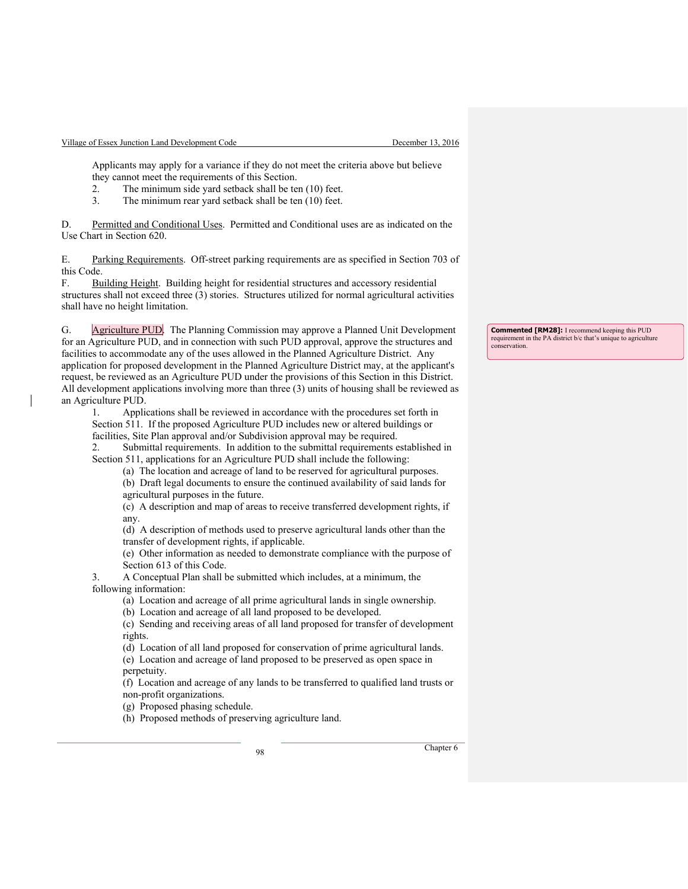Applicants may apply for a variance if they do not meet the criteria above but believe they cannot meet the requirements of this Section.

- 2. The minimum side yard setback shall be ten (10) feet.
- 3. The minimum rear yard setback shall be ten (10) feet.

D. Permitted and Conditional Uses. Permitted and Conditional uses are as indicated on the Use Chart in Section 620.

E. Parking Requirements. Off-street parking requirements are as specified in Section 703 of this Code.

F. Building Height. Building height for residential structures and accessory residential structures shall not exceed three (3) stories. Structures utilized for normal agricultural activities shall have no height limitation.

G. Agriculture PUD. The Planning Commission may approve a Planned Unit Development for an Agriculture PUD, and in connection with such PUD approval, approve the structures and facilities to accommodate any of the uses allowed in the Planned Agriculture District. Any application for proposed development in the Planned Agriculture District may, at the applicant's request, be reviewed as an Agriculture PUD under the provisions of this Section in this District. All development applications involving more than three (3) units of housing shall be reviewed as an Agriculture PUD.

1. Applications shall be reviewed in accordance with the procedures set forth in Section 511. If the proposed Agriculture PUD includes new or altered buildings or facilities, Site Plan approval and/or Subdivision approval may be required.

2. Submittal requirements. In addition to the submittal requirements established in Section 511, applications for an Agriculture PUD shall include the following:

(a) The location and acreage of land to be reserved for agricultural purposes.

(b) Draft legal documents to ensure the continued availability of said lands for agricultural purposes in the future.

(c) A description and map of areas to receive transferred development rights, if any.

(d) A description of methods used to preserve agricultural lands other than the transfer of development rights, if applicable.

(e) Other information as needed to demonstrate compliance with the purpose of Section 613 of this Code.

3. A Conceptual Plan shall be submitted which includes, at a minimum, the following information:

(a) Location and acreage of all prime agricultural lands in single ownership.

(b) Location and acreage of all land proposed to be developed.

(c) Sending and receiving areas of all land proposed for transfer of development rights.

(d) Location of all land proposed for conservation of prime agricultural lands. (e) Location and acreage of land proposed to be preserved as open space in perpetuity.

(f) Location and acreage of any lands to be transferred to qualified land trusts or non-profit organizations.

(g) Proposed phasing schedule.

(h) Proposed methods of preserving agriculture land.

<sup>98</sup> Chapter 6

**Commented [RM28]:** I recommend keeping this PUD requirement in the PA district b/c that's unique to agriculture conservation.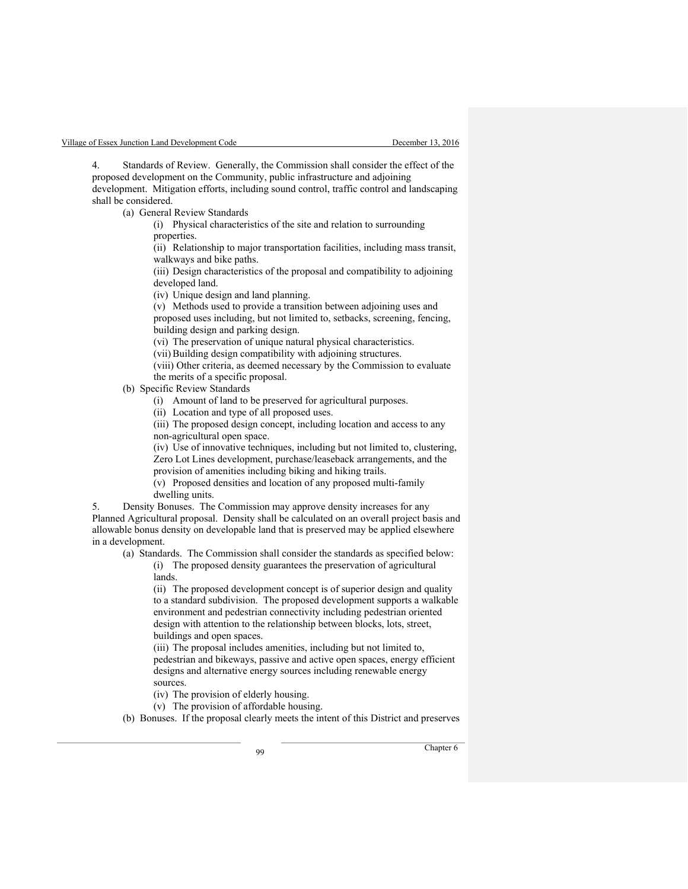Standards of Review. Generally, the Commission shall consider the effect of the proposed development on the Community, public infrastructure and adjoining development. Mitigation efforts, including sound control, traffic control and landscaping shall be considered.

(a) General Review Standards

(i) Physical characteristics of the site and relation to surrounding properties.

(ii) Relationship to major transportation facilities, including mass transit, walkways and bike paths.

(iii) Design characteristics of the proposal and compatibility to adjoining developed land.

(iv) Unique design and land planning.

(v) Methods used to provide a transition between adjoining uses and proposed uses including, but not limited to, setbacks, screening, fencing, building design and parking design.

(vi) The preservation of unique natural physical characteristics.

(vii)Building design compatibility with adjoining structures.

(viii) Other criteria, as deemed necessary by the Commission to evaluate the merits of a specific proposal.

(b) Specific Review Standards

(i) Amount of land to be preserved for agricultural purposes.

(ii) Location and type of all proposed uses.

(iii) The proposed design concept, including location and access to any non-agricultural open space.

(iv) Use of innovative techniques, including but not limited to, clustering, Zero Lot Lines development, purchase/leaseback arrangements, and the provision of amenities including biking and hiking trails.

(v) Proposed densities and location of any proposed multi-family dwelling units.

5. Density Bonuses. The Commission may approve density increases for any Planned Agricultural proposal. Density shall be calculated on an overall project basis and allowable bonus density on developable land that is preserved may be applied elsewhere in a development.

(a) Standards. The Commission shall consider the standards as specified below: (i) The proposed density guarantees the preservation of agricultural

lands.

(ii) The proposed development concept is of superior design and quality to a standard subdivision. The proposed development supports a walkable environment and pedestrian connectivity including pedestrian oriented design with attention to the relationship between blocks, lots, street, buildings and open spaces.

(iii) The proposal includes amenities, including but not limited to, pedestrian and bikeways, passive and active open spaces, energy efficient designs and alternative energy sources including renewable energy sources.

(iv) The provision of elderly housing.

(v) The provision of affordable housing.

(b) Bonuses. If the proposal clearly meets the intent of this District and preserves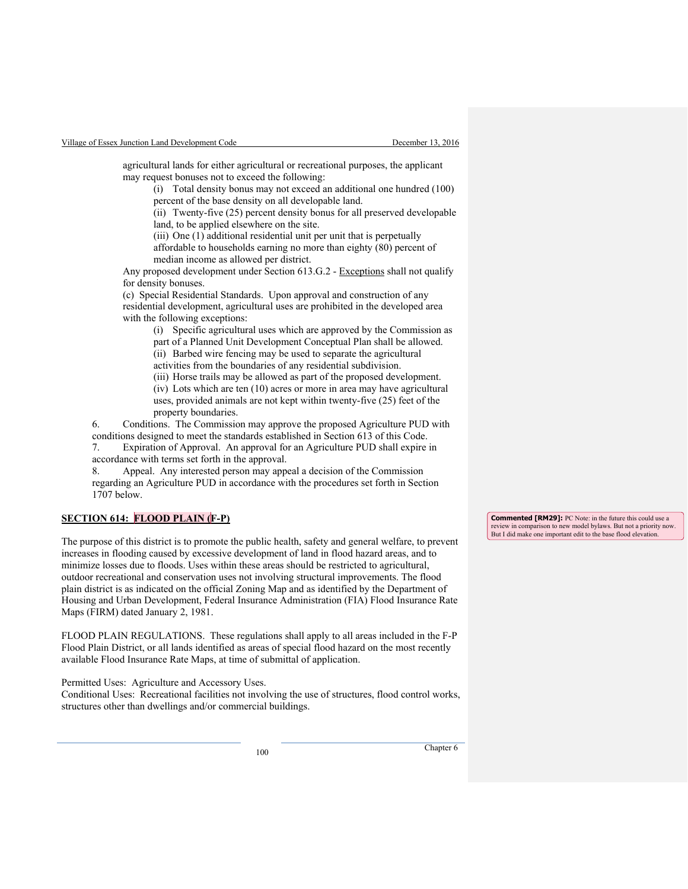agricultural lands for either agricultural or recreational purposes, the applicant may request bonuses not to exceed the following:

(i) Total density bonus may not exceed an additional one hundred (100) percent of the base density on all developable land.

(ii) Twenty-five (25) percent density bonus for all preserved developable land, to be applied elsewhere on the site.

(iii) One (1) additional residential unit per unit that is perpetually

affordable to households earning no more than eighty (80) percent of median income as allowed per district.

Any proposed development under Section 613.G.2 - Exceptions shall not qualify for density bonuses.

(c) Special Residential Standards. Upon approval and construction of any residential development, agricultural uses are prohibited in the developed area with the following exceptions:

(i) Specific agricultural uses which are approved by the Commission as part of a Planned Unit Development Conceptual Plan shall be allowed.

(ii) Barbed wire fencing may be used to separate the agricultural

activities from the boundaries of any residential subdivision.

(iii) Horse trails may be allowed as part of the proposed development.

(iv) Lots which are ten (10) acres or more in area may have agricultural uses, provided animals are not kept within twenty-five (25) feet of the property boundaries.

6. Conditions. The Commission may approve the proposed Agriculture PUD with conditions designed to meet the standards established in Section 613 of this Code.

7. Expiration of Approval. An approval for an Agriculture PUD shall expire in accordance with terms set forth in the approval.

8. Appeal. Any interested person may appeal a decision of the Commission regarding an Agriculture PUD in accordance with the procedures set forth in Section 1707 below.

# **SECTION 614: FLOOD PLAIN (F-P)**

The purpose of this district is to promote the public health, safety and general welfare, to prevent increases in flooding caused by excessive development of land in flood hazard areas, and to minimize losses due to floods. Uses within these areas should be restricted to agricultural, outdoor recreational and conservation uses not involving structural improvements. The flood plain district is as indicated on the official Zoning Map and as identified by the Department of Housing and Urban Development, Federal Insurance Administration (FIA) Flood Insurance Rate Maps (FIRM) dated January 2, 1981.

FLOOD PLAIN REGULATIONS. These regulations shall apply to all areas included in the F-P Flood Plain District, or all lands identified as areas of special flood hazard on the most recently available Flood Insurance Rate Maps, at time of submittal of application.

Permitted Uses: Agriculture and Accessory Uses.

Conditional Uses: Recreational facilities not involving the use of structures, flood control works, structures other than dwellings and/or commercial buildings.

**Commented [RM29]:** PC Note: in the future this could use a review in comparison to new model bylaws. But not a priority now. But I did make one important edit to the base flood elevation.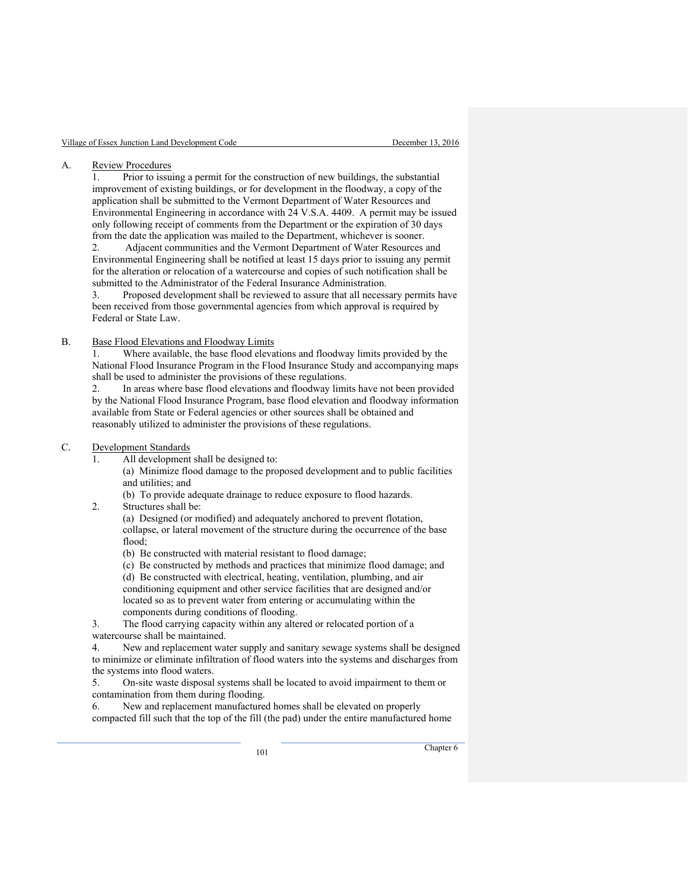#### A. Review Procedures

1. Prior to issuing a permit for the construction of new buildings, the substantial improvement of existing buildings, or for development in the floodway, a copy of the application shall be submitted to the Vermont Department of Water Resources and Environmental Engineering in accordance with 24 V.S.A. 4409. A permit may be issued only following receipt of comments from the Department or the expiration of 30 days from the date the application was mailed to the Department, whichever is sooner.

2. Adjacent communities and the Vermont Department of Water Resources and Environmental Engineering shall be notified at least 15 days prior to issuing any permit for the alteration or relocation of a watercourse and copies of such notification shall be submitted to the Administrator of the Federal Insurance Administration.

3. Proposed development shall be reviewed to assure that all necessary permits have been received from those governmental agencies from which approval is required by Federal or State Law.

## B. Base Flood Elevations and Floodway Limits

Where available, the base flood elevations and floodway limits provided by the National Flood Insurance Program in the Flood Insurance Study and accompanying maps shall be used to administer the provisions of these regulations.

2. In areas where base flood elevations and floodway limits have not been provided by the National Flood Insurance Program, base flood elevation and floodway information available from State or Federal agencies or other sources shall be obtained and reasonably utilized to administer the provisions of these regulations.

#### C. Development Standards

All development shall be designed to:

(a) Minimize flood damage to the proposed development and to public facilities and utilities; and

- (b) To provide adequate drainage to reduce exposure to flood hazards.
- 2. Structures shall be:

(a) Designed (or modified) and adequately anchored to prevent flotation, collapse, or lateral movement of the structure during the occurrence of the base flood;

(b) Be constructed with material resistant to flood damage;

(c) Be constructed by methods and practices that minimize flood damage; and (d) Be constructed with electrical, heating, ventilation, plumbing, and air conditioning equipment and other service facilities that are designed and/or located so as to prevent water from entering or accumulating within the components during conditions of flooding.

3. The flood carrying capacity within any altered or relocated portion of a watercourse shall be maintained.

4. New and replacement water supply and sanitary sewage systems shall be designed to minimize or eliminate infiltration of flood waters into the systems and discharges from the systems into flood waters.

5. On-site waste disposal systems shall be located to avoid impairment to them or contamination from them during flooding.

6. New and replacement manufactured homes shall be elevated on properly compacted fill such that the top of the fill (the pad) under the entire manufactured home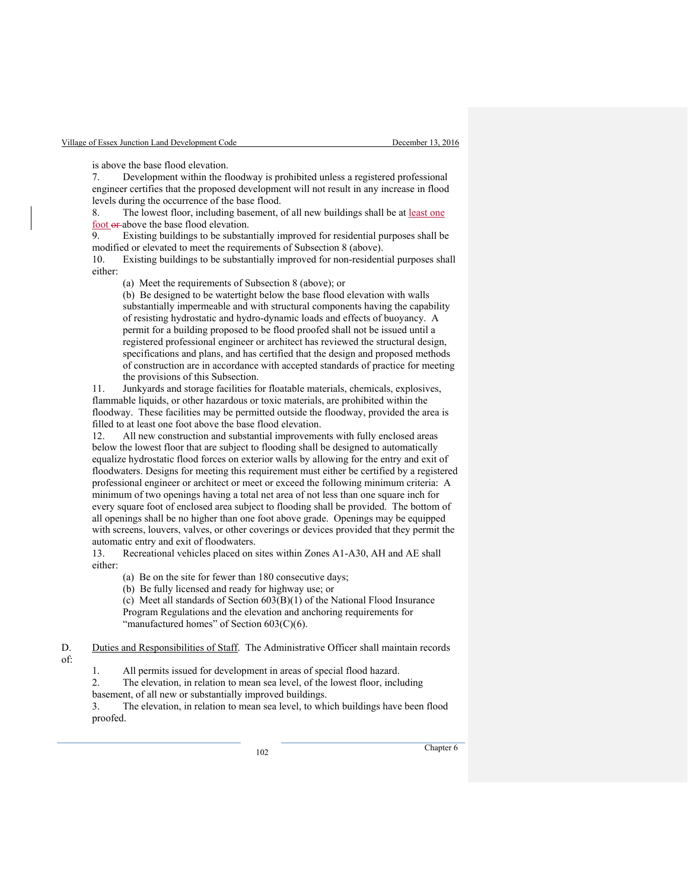is above the base flood elevation.

7. Development within the floodway is prohibited unless a registered professional engineer certifies that the proposed development will not result in any increase in flood levels during the occurrence of the base flood.

8. The lowest floor, including basement, of all new buildings shall be at <u>least one</u>  $\frac{\text{foot of}}{\text{er}}$  above the base flood elevation.<br>9. Existing buildings to be substan

Existing buildings to be substantially improved for residential purposes shall be modified or elevated to meet the requirements of Subsection 8 (above).

10. Existing buildings to be substantially improved for non-residential purposes shall either:

(a) Meet the requirements of Subsection 8 (above); or

(b) Be designed to be watertight below the base flood elevation with walls substantially impermeable and with structural components having the capability of resisting hydrostatic and hydro-dynamic loads and effects of buoyancy. A permit for a building proposed to be flood proofed shall not be issued until a registered professional engineer or architect has reviewed the structural design, specifications and plans, and has certified that the design and proposed methods of construction are in accordance with accepted standards of practice for meeting the provisions of this Subsection.

11. Junkyards and storage facilities for floatable materials, chemicals, explosives, flammable liquids, or other hazardous or toxic materials, are prohibited within the floodway. These facilities may be permitted outside the floodway, provided the area is filled to at least one foot above the base flood elevation.

12. All new construction and substantial improvements with fully enclosed areas below the lowest floor that are subject to flooding shall be designed to automatically equalize hydrostatic flood forces on exterior walls by allowing for the entry and exit of floodwaters. Designs for meeting this requirement must either be certified by a registered professional engineer or architect or meet or exceed the following minimum criteria: A minimum of two openings having a total net area of not less than one square inch for every square foot of enclosed area subject to flooding shall be provided. The bottom of all openings shall be no higher than one foot above grade. Openings may be equipped with screens, louvers, valves, or other coverings or devices provided that they permit the automatic entry and exit of floodwaters.

13. Recreational vehicles placed on sites within Zones A1-A30, AH and AE shall either:

(a) Be on the site for fewer than 180 consecutive days;

(b) Be fully licensed and ready for highway use; or

(c) Meet all standards of Section 603(B)(1) of the National Flood Insurance Program Regulations and the elevation and anchoring requirements for "manufactured homes" of Section 603(C)(6).

D. Duties and Responsibilities of Staff. The Administrative Officer shall maintain records

of:

1. All permits issued for development in areas of special flood hazard.

2. The elevation, in relation to mean sea level, of the lowest floor, including basement, of all new or substantially improved buildings.

3. The elevation, in relation to mean sea level, to which buildings have been flood proofed.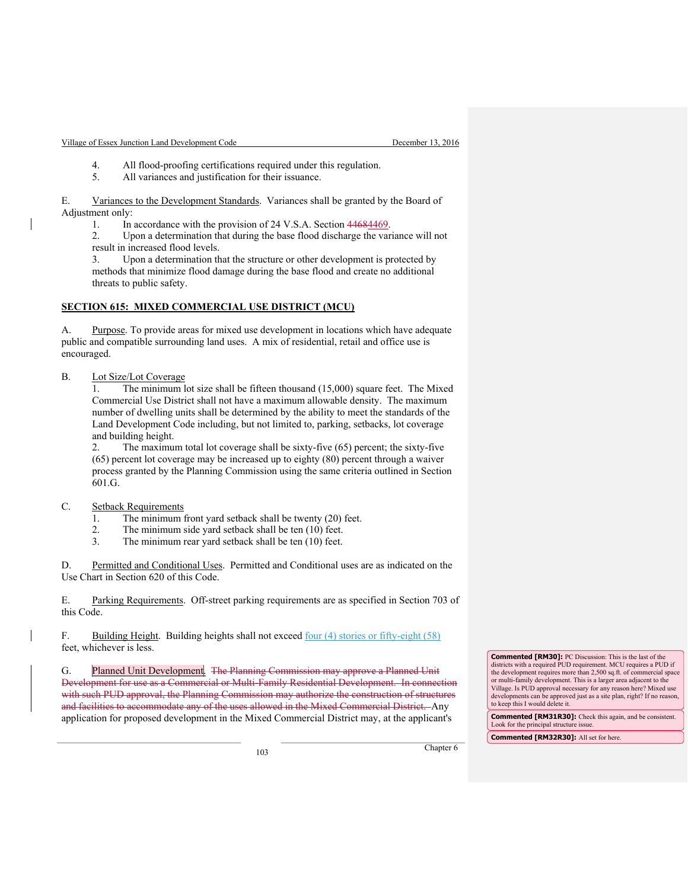- 4. All flood-proofing certifications required under this regulation.
- 5. All variances and justification for their issuance.

E. Variances to the Development Standards. Variances shall be granted by the Board of Adjustment only:

1. In accordance with the provision of 24 V.S.A. Section 44684469.

2. Upon a determination that during the base flood discharge the variance will not result in increased flood levels.

3. Upon a determination that the structure or other development is protected by methods that minimize flood damage during the base flood and create no additional threats to public safety.

#### **SECTION 615: MIXED COMMERCIAL USE DISTRICT (MCU)**

A. Purpose. To provide areas for mixed use development in locations which have adequate public and compatible surrounding land uses. A mix of residential, retail and office use is encouraged.

## B. Lot Size/Lot Coverage

1. The minimum lot size shall be fifteen thousand (15,000) square feet. The Mixed Commercial Use District shall not have a maximum allowable density. The maximum number of dwelling units shall be determined by the ability to meet the standards of the Land Development Code including, but not limited to, parking, setbacks, lot coverage and building height.

2. The maximum total lot coverage shall be sixty-five (65) percent; the sixty-five (65) percent lot coverage may be increased up to eighty (80) percent through a waiver process granted by the Planning Commission using the same criteria outlined in Section 601.G.

## C. Setback Requirements

- 1. The minimum front yard setback shall be twenty (20) feet.
- 2. The minimum side yard setback shall be ten (10) feet.
- 3. The minimum rear yard setback shall be ten (10) feet.

D. Permitted and Conditional Uses. Permitted and Conditional uses are as indicated on the Use Chart in Section 620 of this Code.

E. Parking Requirements. Off-street parking requirements are as specified in Section 703 of this Code.

F. Building Height. Building heights shall not exceed four (4) stories or fifty-eight (58) feet, whichever is less.

G. Planned Unit Development. The Planning Commission may approve a Planned Unit Development for use as a Commercial or Multi-Family Residential Development. In connection with such PUD approval, the Planning Commission may authorize the construction of structures and facilities to accommodate any of the uses allowed in the Mixed Commercial District. Any application for proposed development in the Mixed Commercial District may, at the applicant's

**Commented [RM30]:** PC Discussion: This is the last of the districts with a required PUD requirement. MCU requires a PUD if the development requires more than 2,500 sq.ft. of commercial space or multi-family development. This is a larger area adjacent to the Village. Is PUD approval necessary for any reason here? Mixed use developments can be approved just as a site plan, right? If no reason, to keep this I would delete it.

**Commented [RM31R30]:** Check this again, and be consistent. Look for the principal structure issue.

**Commented [RM32R30]:** All set for here.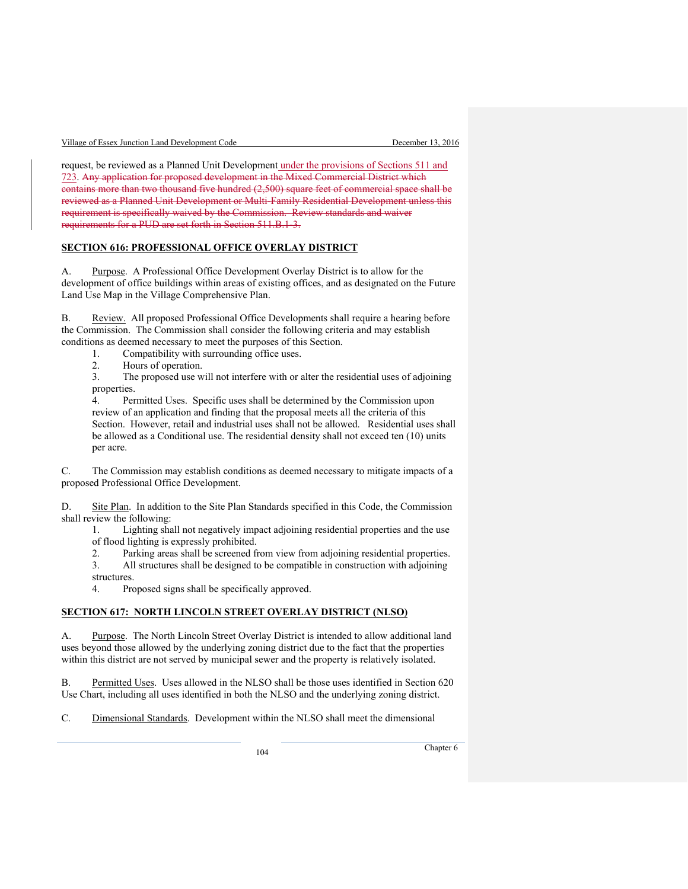| Village of Essex Junction Land Development Code |  |  |
|-------------------------------------------------|--|--|
|                                                 |  |  |

request, be reviewed as a Planned Unit Development under the provisions of Sections 511 and 723. Any application for proposed development in the Mixed Commercial District which contains more than two thousand five hundred (2,500) square feet of commercial space shall be reviewed as a Planned Unit Development or Multi-Family Residential Development unless this requirement is specifically waived by the Commission. Review standards and waiver requirements for a PUD are set forth in Section 511.B.1-3.

#### **SECTION 616: PROFESSIONAL OFFICE OVERLAY DISTRICT**

A. Purpose. A Professional Office Development Overlay District is to allow for the development of office buildings within areas of existing offices, and as designated on the Future Land Use Map in the Village Comprehensive Plan.

B. Review. All proposed Professional Office Developments shall require a hearing before the Commission. The Commission shall consider the following criteria and may establish conditions as deemed necessary to meet the purposes of this Section.

- 1. Compatibility with surrounding office uses.
- 2. Hours of operation.

3. The proposed use will not interfere with or alter the residential uses of adjoining properties.

4. Permitted Uses. Specific uses shall be determined by the Commission upon review of an application and finding that the proposal meets all the criteria of this Section. However, retail and industrial uses shall not be allowed. Residential uses shall be allowed as a Conditional use. The residential density shall not exceed ten (10) units per acre.

C. The Commission may establish conditions as deemed necessary to mitigate impacts of a proposed Professional Office Development.

D. Site Plan. In addition to the Site Plan Standards specified in this Code, the Commission shall review the following:

1. Lighting shall not negatively impact adjoining residential properties and the use of flood lighting is expressly prohibited.

2. Parking areas shall be screened from view from adjoining residential properties.

3. All structures shall be designed to be compatible in construction with adjoining structures.

4. Proposed signs shall be specifically approved.

#### **SECTION 617: NORTH LINCOLN STREET OVERLAY DISTRICT (NLSO)**

A. Purpose. The North Lincoln Street Overlay District is intended to allow additional land uses beyond those allowed by the underlying zoning district due to the fact that the properties within this district are not served by municipal sewer and the property is relatively isolated.

B. Permitted Uses. Uses allowed in the NLSO shall be those uses identified in Section 620 Use Chart, including all uses identified in both the NLSO and the underlying zoning district.

C. Dimensional Standards. Development within the NLSO shall meet the dimensional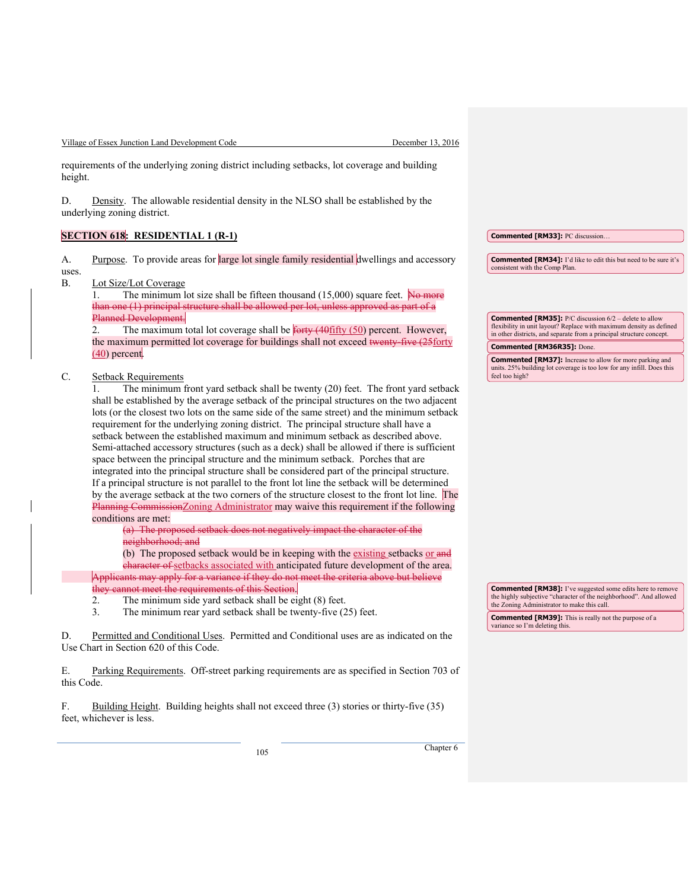Village of Essex Junction Land Development Code December 13, 2016

requirements of the underlying zoning district including setbacks, lot coverage and building height.

D. Density. The allowable residential density in the NLSO shall be established by the underlying zoning district.

**SECTION 618: RESIDENTIAL 1 (R-1)**

A. Purpose. To provide areas for large lot single family residential dwellings and accessory uses.

B. Lot Size/Lot Coverage

1. The minimum lot size shall be fifteen thousand  $(15,000)$  square feet. No more one (1) principal structure shall be allowed per lot, unless approved as part of a Planned Development.

2. The maximum total lot coverage shall be  $\frac{6r}{\text{triv}}(40 \frac{f}{\text{triv}}(50)$  percent. However, the maximum permitted lot coverage for buildings shall not exceed twenty-five (25forty  $(40)$  percent.

## C. Setback Requirements

1. The minimum front yard setback shall be twenty (20) feet. The front yard setback shall be established by the average setback of the principal structures on the two adjacent lots (or the closest two lots on the same side of the same street) and the minimum setback requirement for the underlying zoning district. The principal structure shall have a setback between the established maximum and minimum setback as described above. Semi-attached accessory structures (such as a deck) shall be allowed if there is sufficient space between the principal structure and the minimum setback. Porches that are integrated into the principal structure shall be considered part of the principal structure. If a principal structure is not parallel to the front lot line the setback will be determined by the average setback at the two corners of the structure closest to the front lot line. The Planning CommissionZoning Administrator may waive this requirement if the following conditions are met:

(a) The proposed setback does not negatively impact the character of the neighborhood; and

(b) The proposed setback would be in keeping with the existing setbacks or and character of setbacks associated with anticipated future development of the area. Applicants may apply for a variance if they do not meet the criteria above but believe

- they cannot meet the requirements of this Section.<br>2. The minimum side yard setback shall be ei 2. The minimum side yard setback shall be eight  $(8)$  feet.<br>3. The minimum rear yard setback shall be twenty-five  $(2)$ 
	- The minimum rear yard setback shall be twenty-five (25) feet.

D. Permitted and Conditional Uses. Permitted and Conditional uses are as indicated on the Use Chart in Section 620 of this Code.

E. Parking Requirements. Off-street parking requirements are as specified in Section 703 of this Code.

F. Building Height. Building heights shall not exceed three (3) stories or thirty-five (35) feet, whichever is less.

<sup>105</sup> Chapter 6

**Commented [RM34]:** I'd like to edit this but need to be sure it's

**Commented [RM35]:** P/C discussion 6/2 – delete to allow flexibility in unit layout? Replace with maximum density as defined in other districts, and separate from a principal structure concept.

**Commented [RM36R35]:** Done.

**Commented [RM33]:** PC discussion…

consistent with the Comp Plan.

**Commented [RM37]:** Increase to allow for more parking and units. 25% building lot coverage is too low for any infill. Does this feel too high?

**Commented [RM38]:** I've suggested some edits here to remove the highly subjective "character of the neighborhood". And allowed the Zoning Administrator to make this call.

**Commented [RM39]:** This is really not the purpose of a variance so I'm deleting this.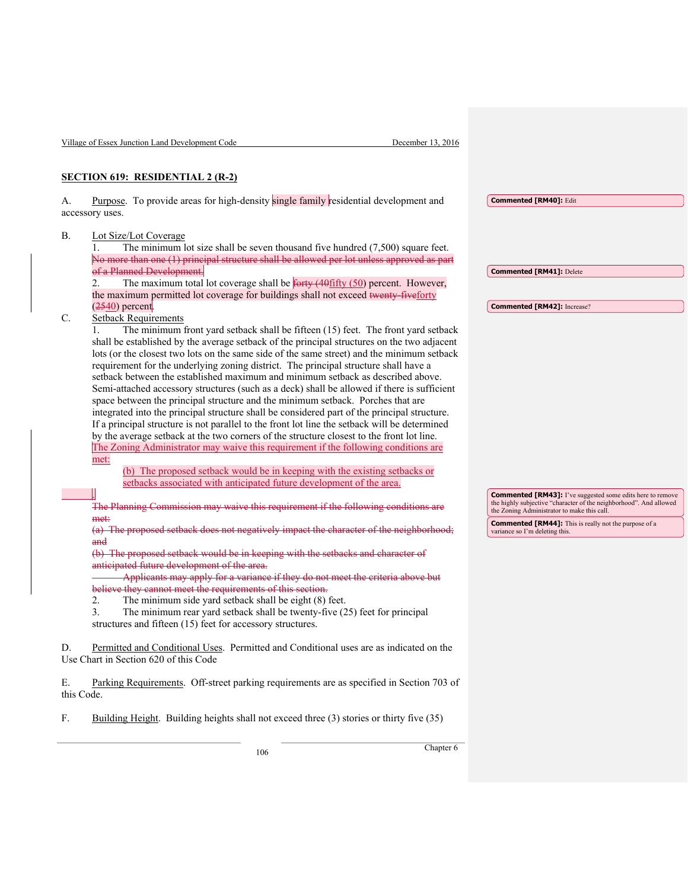|                  | Village of Essex Junction Land Development Code<br>December 13, 2016                                                                                                                                                                                                                                                                                                                                                                                                                                                                                                                                                                                                                                                                                                                                                                                                                                                                                                                                                                                                                                                                                                                                                                |                                                                                                                                                                                        |
|------------------|-------------------------------------------------------------------------------------------------------------------------------------------------------------------------------------------------------------------------------------------------------------------------------------------------------------------------------------------------------------------------------------------------------------------------------------------------------------------------------------------------------------------------------------------------------------------------------------------------------------------------------------------------------------------------------------------------------------------------------------------------------------------------------------------------------------------------------------------------------------------------------------------------------------------------------------------------------------------------------------------------------------------------------------------------------------------------------------------------------------------------------------------------------------------------------------------------------------------------------------|----------------------------------------------------------------------------------------------------------------------------------------------------------------------------------------|
|                  | <b>SECTION 619: RESIDENTIAL 2 (R-2)</b>                                                                                                                                                                                                                                                                                                                                                                                                                                                                                                                                                                                                                                                                                                                                                                                                                                                                                                                                                                                                                                                                                                                                                                                             |                                                                                                                                                                                        |
| А.               | Purpose. To provide areas for high-density single family residential development and<br>accessory uses.                                                                                                                                                                                                                                                                                                                                                                                                                                                                                                                                                                                                                                                                                                                                                                                                                                                                                                                                                                                                                                                                                                                             | <b>Commented [RM40]: Edit</b>                                                                                                                                                          |
| <b>B.</b>        | Lot Size/Lot Coverage<br>The minimum lot size shall be seven thousand five hundred $(7,500)$ square feet.<br>No more than one (1) principal structure shall be allowed per lot unless approved as part<br>of a Planned Development.                                                                                                                                                                                                                                                                                                                                                                                                                                                                                                                                                                                                                                                                                                                                                                                                                                                                                                                                                                                                 | <b>Commented [RM41]: Delete</b>                                                                                                                                                        |
|                  | The maximum total lot coverage shall be <b>forty</b> (40fifty (50) percent. However,<br>2.<br>the maximum permitted lot coverage for buildings shall not exceed twenty-fiveforty<br>$(2540)$ percent.                                                                                                                                                                                                                                                                                                                                                                                                                                                                                                                                                                                                                                                                                                                                                                                                                                                                                                                                                                                                                               | <b>Commented [RM42]:</b> Increase?                                                                                                                                                     |
| C.               | <b>Setback Requirements</b><br>The minimum front yard setback shall be fifteen (15) feet. The front yard setback<br>1.<br>shall be established by the average setback of the principal structures on the two adjacent<br>lots (or the closest two lots on the same side of the same street) and the minimum setback<br>requirement for the underlying zoning district. The principal structure shall have a<br>setback between the established maximum and minimum setback as described above.<br>Semi-attached accessory structures (such as a deck) shall be allowed if there is sufficient<br>space between the principal structure and the minimum setback. Porches that are<br>integrated into the principal structure shall be considered part of the principal structure.<br>If a principal structure is not parallel to the front lot line the setback will be determined<br>by the average setback at the two corners of the structure closest to the front lot line.<br>The Zoning Administrator may waive this requirement if the following conditions are<br>met:<br>(b) The proposed setback would be in keeping with the existing setbacks or<br>setbacks associated with anticipated future development of the area. |                                                                                                                                                                                        |
|                  | The Planning Commission may waive this requirement if the following conditions are                                                                                                                                                                                                                                                                                                                                                                                                                                                                                                                                                                                                                                                                                                                                                                                                                                                                                                                                                                                                                                                                                                                                                  | <b>Commented [RM43]:</b> I've suggested some edits here to remove<br>the highly subjective "character of the neighborhood". And allowed<br>the Zoning Administrator to make this call. |
|                  | met:<br>(a) The proposed setback does not negatively impact the character of the neighborhood;<br>a <del>nd</del>                                                                                                                                                                                                                                                                                                                                                                                                                                                                                                                                                                                                                                                                                                                                                                                                                                                                                                                                                                                                                                                                                                                   | <b>Commented [RM44]:</b> This is really not the purpose of a<br>variance so I'm deleting this.                                                                                         |
|                  | (b) The proposed setback would be in keeping with the setbacks and character of<br>anticipated future development of the area.<br>Applicants may apply for a variance if they do not meet the criteria above but<br>believe they cannot meet the requirements of this section.<br>The minimum side yard setback shall be eight (8) feet.<br>2.<br>3.<br>The minimum rear yard setback shall be twenty-five (25) feet for principal<br>structures and fifteen (15) feet for accessory structures.                                                                                                                                                                                                                                                                                                                                                                                                                                                                                                                                                                                                                                                                                                                                    |                                                                                                                                                                                        |
| D.               | Permitted and Conditional Uses. Permitted and Conditional uses are as indicated on the<br>Use Chart in Section 620 of this Code                                                                                                                                                                                                                                                                                                                                                                                                                                                                                                                                                                                                                                                                                                                                                                                                                                                                                                                                                                                                                                                                                                     |                                                                                                                                                                                        |
| Ε.<br>this Code. | Parking Requirements. Off-street parking requirements are as specified in Section 703 of                                                                                                                                                                                                                                                                                                                                                                                                                                                                                                                                                                                                                                                                                                                                                                                                                                                                                                                                                                                                                                                                                                                                            |                                                                                                                                                                                        |
| F.               | Building Height. Building heights shall not exceed three (3) stories or thirty five (35)                                                                                                                                                                                                                                                                                                                                                                                                                                                                                                                                                                                                                                                                                                                                                                                                                                                                                                                                                                                                                                                                                                                                            |                                                                                                                                                                                        |
|                  | Chapter $6$<br>106                                                                                                                                                                                                                                                                                                                                                                                                                                                                                                                                                                                                                                                                                                                                                                                                                                                                                                                                                                                                                                                                                                                                                                                                                  |                                                                                                                                                                                        |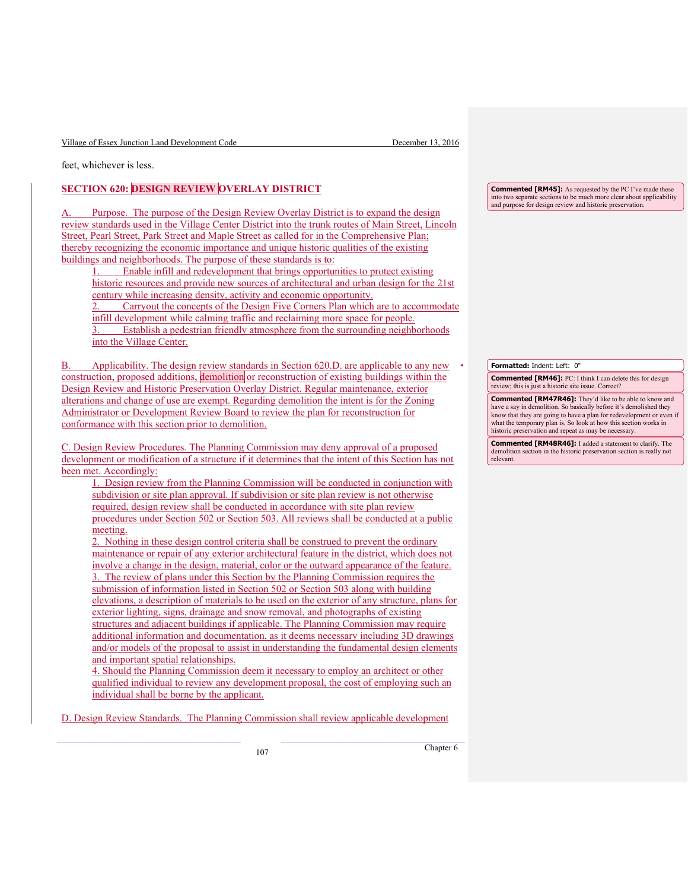Village of Essex Junction Land Development Code December 13, 2016

feet, whichever is less.

# **SECTION 620: DESIGN REVIEW OVERLAY DISTRICT**

Purpose. The purpose of the Design Review Overlay District is to expand the design review standards used in the Village Center District into the trunk routes of Main Street, Lincoln Street, Pearl Street, Park Street and Maple Street as called for in the Comprehensive Plan; thereby recognizing the economic importance and unique historic qualities of the existing buildings and neighborhoods. The purpose of these standards is to:

1. Enable infill and redevelopment that brings opportunities to protect existing historic resources and provide new sources of architectural and urban design for the 21st century while increasing density, activity and economic opportunity.

2. Carryout the concepts of the Design Five Corners Plan which are to accommodate infill development while calming traffic and reclaiming more space for people. Establish a pedestrian friendly atmosphere from the surrounding neighborhoods

into the Village Center.

Applicability. The design review standards in Section 620.D. are applicable to any new construction, proposed additions, demolition or reconstruction of existing buildings within the Design Review and Historic Preservation Overlay District. Regular maintenance, exterior alterations and change of use are exempt. Regarding demolition the intent is for the Zoning Administrator or Development Review Board to review the plan for reconstruction for conformance with this section prior to demolition.

C. Design Review Procedures. The Planning Commission may deny approval of a proposed development or modification of a structure if it determines that the intent of this Section has not been met. Accordingly:

1. Design review from the Planning Commission will be conducted in conjunction with subdivision or site plan approval. If subdivision or site plan review is not otherwise required, design review shall be conducted in accordance with site plan review procedures under Section 502 or Section 503. All reviews shall be conducted at a public meeting.

2. Nothing in these design control criteria shall be construed to prevent the ordinary maintenance or repair of any exterior architectural feature in the district, which does not involve a change in the design, material, color or the outward appearance of the feature. 3. The review of plans under this Section by the Planning Commission requires the submission of information listed in Section 502 or Section 503 along with building elevations, a description of materials to be used on the exterior of any structure, plans for exterior lighting, signs, drainage and snow removal, and photographs of existing structures and adjacent buildings if applicable. The Planning Commission may require additional information and documentation, as it deems necessary including 3D drawings and/or models of the proposal to assist in understanding the fundamental design elements and important spatial relationships.

4. Should the Planning Commission deem it necessary to employ an architect or other qualified individual to review any development proposal, the cost of employing such an individual shall be borne by the applicant.

D. Design Review Standards. The Planning Commission shall review applicable development

**Commented [RM45]:** As requested by the PC I've made these into two separate sections to be much more clear about applicability and purpose for design review and historic preservation.

**Formatted:** Indent: Left: 0"

**Commented [RM46]:** PC: I think I can delete this for design review; this is just a historic site issue. Correct?

**Commented [RM47R46]:** They'd like to be able to know and have a say in demolition. So basically before it's demolished they know that they are going to have a plan for redevelopment or even if what the temporary plan is. So look at how this section works in historic preservation and repeat as may be necessary.

**Commented [RM48R46]:** I added a statement to clarify. The demolition section in the historic preservation section is really not relevant.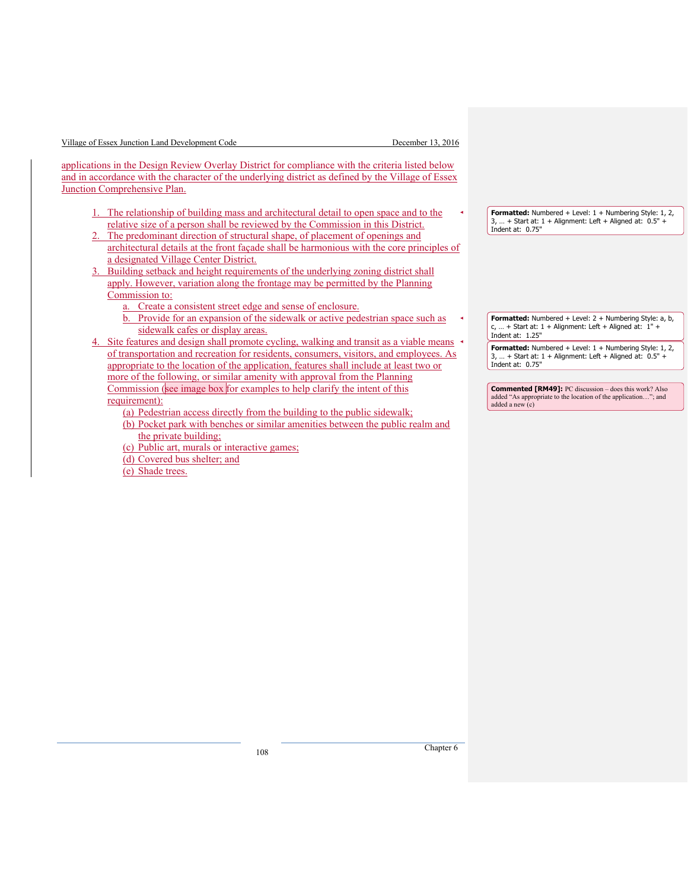| Village of Essex Junction Land Development Code |  |  |
|-------------------------------------------------|--|--|
|                                                 |  |  |

December 13, 2016

applications in the Design Review Overlay District for compliance with the criteria listed below and in accordance with the character of the underlying district as defined by the Village of Essex Junction Comprehensive Plan.

- 1. The relationship of building mass and architectural detail to open space and to the relative size of a person shall be reviewed by the Commission in this District.
- The predominant direction of structural shape, of placement of openings and architectural details at the front façade shall be harmonious with the core principles of a designated Village Center District.
- 3. Building setback and height requirements of the underlying zoning district shall apply. However, variation along the frontage may be permitted by the Planning Commission to:
	- a. Create a consistent street edge and sense of enclosure.
	- b. Provide for an expansion of the sidewalk or active pedestrian space such as sidewalk cafes or display areas.
- 4. Site features and design shall promote cycling, walking and transit as a viable means of transportation and recreation for residents, consumers, visitors, and employees. As appropriate to the location of the application, features shall include at least two or more of the following, or similar amenity with approval from the Planning Commission (see image box for examples to help clarify the intent of this requirement):
	- (a) Pedestrian access directly from the building to the public sidewalk;
	- (b) Pocket park with benches or similar amenities between the public realm and the private building;
	- (c) Public art, murals or interactive games;
	- (d) Covered bus shelter; and
	- (e) Shade trees.

3, … + Start at: 1 + Alignment: Left + Aligned at: 0.5" + Indent at: 0.75"

Formatted: Numbered + Level: 1 + Numbering Style: 1, 2,

**Formatted:** Numbered + Level: 2 + Numbering Style: a, b, c, ... + Start at:  $1 +$  Alignment: Left + Aligned at:  $1 +$ Indent at: 1.25"

**Formatted:** Numbered + Level: 1 + Numbering Style: 1, 2, 3, ... + Start at:  $1 +$  Alignment: Left + Aligned at:  $0.5"$ Indent at: 0.75"

**Commented [RM49]:** PC discussion – does this work? Also added "As appropriate to the location of the application…"; and added a new (c)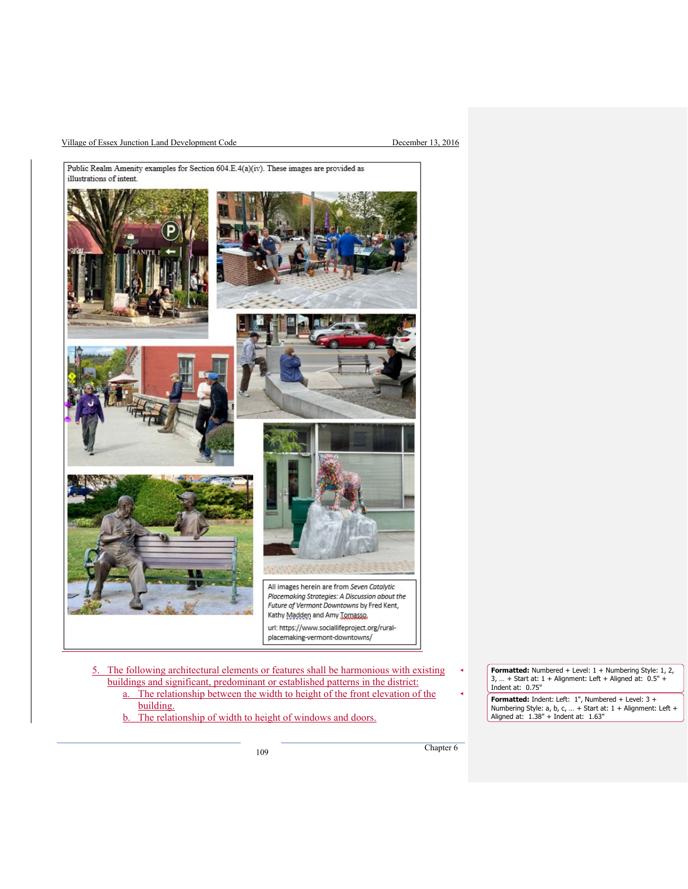#### Village of Essex Junction Land Development Code December 13, 2016



b. The relationship of width to height of windows and doors.

**Formatted:** Numbered + Level: 1 + Numbering Style: 1, 2,<br>3, ... + Start at: 1 + Alignment: Left + Aligned at: 0.5" +<br>Indent at: 0.75"

**Formatted:** Indent: Left: 1", Numbered + Level: 3 + Numbering Style: a, b, c, … + Start at: 1 + Alignment: Left + Aligned at: 1.38" + Indent at: 1.63"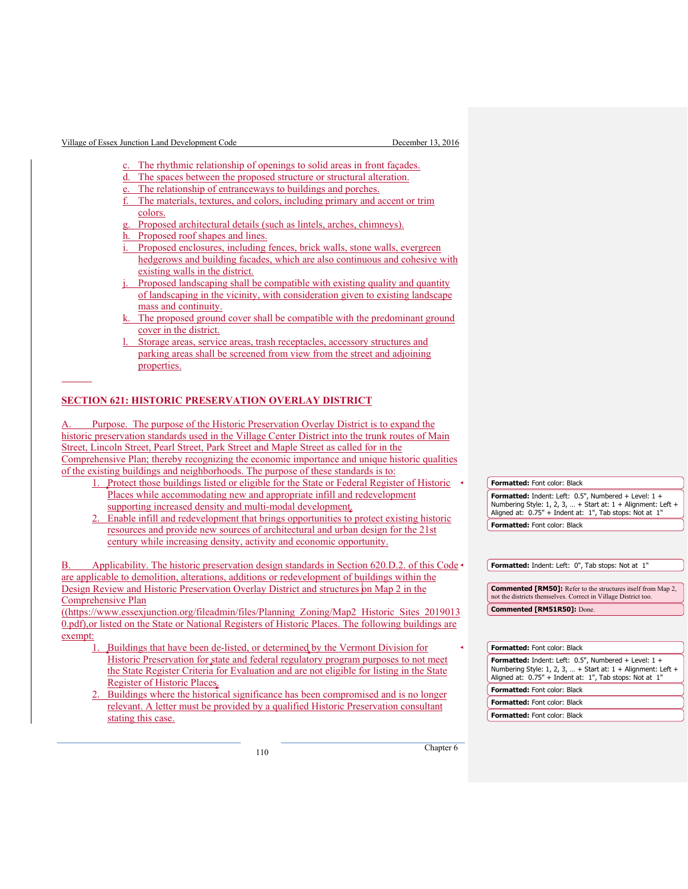Village of Essex Junction Land Development Code December 13, 2016

 $\overline{a}$ 

- The rhythmic relationship of openings to solid areas in front façades.
- d. The spaces between the proposed structure or structural alteration.
- The relationship of entranceways to buildings and porches.
- The materials, textures, and colors, including primary and accent or trim colors.
- Proposed architectural details (such as lintels, arches, chimneys).
- Proposed roof shapes and lines.
- Proposed enclosures, including fences, brick walls, stone walls, evergreen hedgerows and building facades, which are also continuous and cohesive with existing walls in the district.
- Proposed landscaping shall be compatible with existing quality and quantity of landscaping in the vicinity, with consideration given to existing landscape mass and continuity.
- The proposed ground cover shall be compatible with the predominant ground cover in the district.
- Storage areas, service areas, trash receptacles, accessory structures and parking areas shall be screened from view from the street and adjoining properties.

## **SECTION 621: HISTORIC PRESERVATION OVERLAY DISTRICT**

Purpose. The purpose of the Historic Preservation Overlay District is to expand the historic preservation standards used in the Village Center District into the trunk routes of Main Street, Lincoln Street, Pearl Street, Park Street and Maple Street as called for in the Comprehensive Plan; thereby recognizing the economic importance and unique historic qualities of the existing buildings and neighborhoods. The purpose of these standards is to:

- 1. Protect those buildings listed or eligible for the State or Federal Register of Historic Places while accommodating new and appropriate infill and redevelopment supporting increased density and multi-modal development.
- 2. Enable infill and redevelopment that brings opportunities to protect existing historic resources and provide new sources of architectural and urban design for the 21st century while increasing density, activity and economic opportunity.

Applicability. The historic preservation design standards in Section 620.D.2. of this Code are applicable to demolition, alterations, additions or redevelopment of buildings within the Design Review and Historic Preservation Overlay District and structures on Map 2 in the Comprehensive Plan

((https://www.essexjunction.org/fileadmin/files/Planning\_Zoning/Map2\_Historic\_Sites\_2019013 0.pdf),or listed on the State or National Registers of Historic Places. The following buildings are exempt:

- 1. Buildings that have been de-listed, or determined by the Vermont Division for Historic Preservation for state and federal regulatory program purposes to not meet the State Register Criteria for Evaluation and are not eligible for listing in the State Register of Historic Places.
- 2. Buildings where the historical significance has been compromised and is no longer relevant. A letter must be provided by a qualified Historic Preservation consultant stating this case.

**Formatted:** Font color: Black

**Formatted:** Indent: Left: 0.5", Numbered + Level: 1 + Numbering Style: 1, 2, 3, ... + Start at:  $1 +$  Alignment: Left + Aligned at: 0.75" + Indent at: 1", Tab stops: Not at 1" **Formatted:** Font color: Black

**Formatted:** Indent: Left: 0", Tab stops: Not at 1"

**Commented [RM50]:** Refer to the structures itself from Map 2, not the districts themselves. Correct in Village District too. **Commented [RM51R50]:** Done.

| <b>Formatted:</b> Font color: Black                                                                                                                                               |
|-----------------------------------------------------------------------------------------------------------------------------------------------------------------------------------|
| Formatted: Indent: Left: 0.5", Numbered + Level: 1 +<br>Numbering Style: 1, 2, 3,  + Start at: $1 +$ Alignment: Left +<br>Aligned at: 0.75" + Indent at: 1", Tab stops: Not at 1" |
| <b>Formatted:</b> Font color: Black                                                                                                                                               |
| <b>Formatted:</b> Font color: Black                                                                                                                                               |
| <b>Formatted:</b> Font color: Black                                                                                                                                               |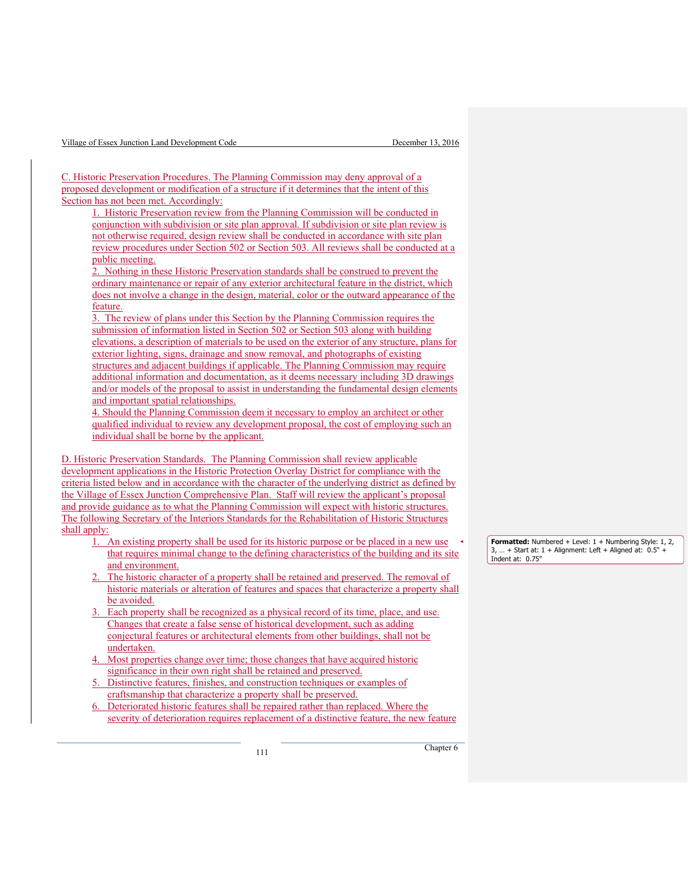| Village of Essex Junction Land Development Code |  |  |  |
|-------------------------------------------------|--|--|--|
|                                                 |  |  |  |

C. Historic Preservation Procedures. The Planning Commission may deny approval of a proposed development or modification of a structure if it determines that the intent of this Section has not been met. Accordingly:

1. Historic Preservation review from the Planning Commission will be conducted in conjunction with subdivision or site plan approval. If subdivision or site plan review is not otherwise required, design review shall be conducted in accordance with site plan review procedures under Section 502 or Section 503. All reviews shall be conducted at a public meeting.

2. Nothing in these Historic Preservation standards shall be construed to prevent the ordinary maintenance or repair of any exterior architectural feature in the district, which does not involve a change in the design, material, color or the outward appearance of the feature.

3. The review of plans under this Section by the Planning Commission requires the submission of information listed in Section 502 or Section 503 along with building elevations, a description of materials to be used on the exterior of any structure, plans for exterior lighting, signs, drainage and snow removal, and photographs of existing structures and adjacent buildings if applicable. The Planning Commission may require additional information and documentation, as it deems necessary including 3D drawings and/or models of the proposal to assist in understanding the fundamental design elements and important spatial relationships.

4. Should the Planning Commission deem it necessary to employ an architect or other qualified individual to review any development proposal, the cost of employing such an individual shall be borne by the applicant.

D. Historic Preservation Standards. The Planning Commission shall review applicable development applications in the Historic Protection Overlay District for compliance with the criteria listed below and in accordance with the character of the underlying district as defined by the Village of Essex Junction Comprehensive Plan. Staff will review the applicant's proposal and provide guidance as to what the Planning Commission will expect with historic structures. The following Secretary of the Interiors Standards for the Rehabilitation of Historic Structures shall apply:

- 1. An existing property shall be used for its historic purpose or be placed in a new use that requires minimal change to the defining characteristics of the building and its site and environment.
- The historic character of a property shall be retained and preserved. The removal of historic materials or alteration of features and spaces that characterize a property shall be avoided.
- 3. Each property shall be recognized as a physical record of its time, place, and use. Changes that create a false sense of historical development, such as adding conjectural features or architectural elements from other buildings, shall not be undertaken.
- 4. Most properties change over time; those changes that have acquired historic significance in their own right shall be retained and preserved.
- 5. Distinctive features, finishes, and construction techniques or examples of craftsmanship that characterize a property shall be preserved.
- 6. Deteriorated historic features shall be repaired rather than replaced. Where the severity of deterioration requires replacement of a distinctive feature, the new feature

**Formatted:** Numbered + Level: 1 + Numbering Style: 1, 2,  $3, ... +$  Start at:  $1 +$  Alignment: Left + Aligned at:  $0.5"$ Indent at: 0.75"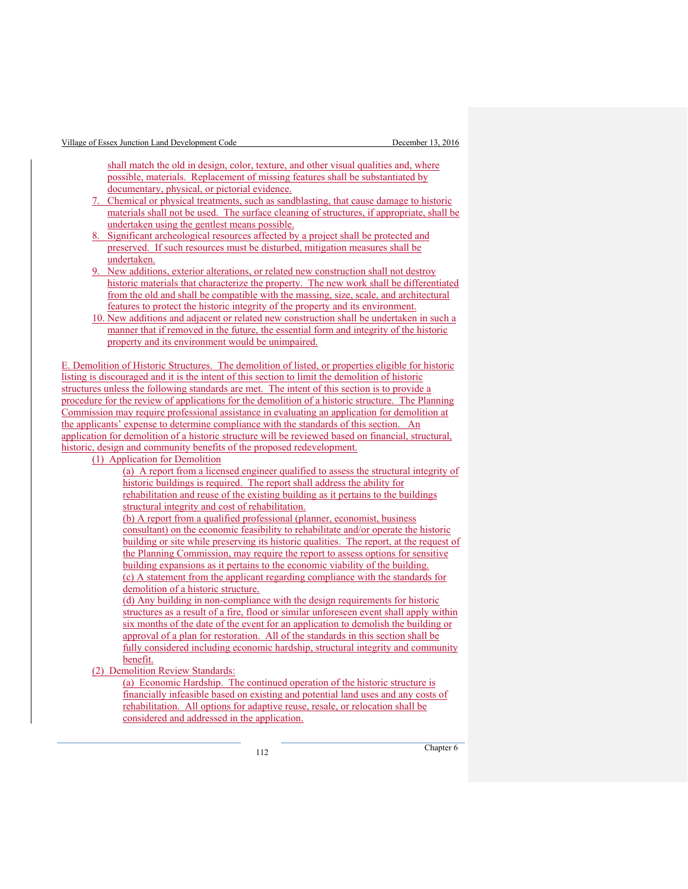shall match the old in design, color, texture, and other visual qualities and, where possible, materials. Replacement of missing features shall be substantiated by documentary, physical, or pictorial evidence.

- 7. Chemical or physical treatments, such as sandblasting, that cause damage to historic materials shall not be used. The surface cleaning of structures, if appropriate, shall be undertaken using the gentlest means possible.
- 8. Significant archeological resources affected by a project shall be protected and preserved. If such resources must be disturbed, mitigation measures shall be undertaken.
- New additions, exterior alterations, or related new construction shall not destroy historic materials that characterize the property. The new work shall be differentiated from the old and shall be compatible with the massing, size, scale, and architectural features to protect the historic integrity of the property and its environment.
- 10. New additions and adjacent or related new construction shall be undertaken in such a manner that if removed in the future, the essential form and integrity of the historic property and its environment would be unimpaired.

E. Demolition of Historic Structures. The demolition of listed, or properties eligible for historic listing is discouraged and it is the intent of this section to limit the demolition of historic structures unless the following standards are met. The intent of this section is to provide a procedure for the review of applications for the demolition of a historic structure. The Planning Commission may require professional assistance in evaluating an application for demolition at the applicants' expense to determine compliance with the standards of this section. An application for demolition of a historic structure will be reviewed based on financial, structural, historic, design and community benefits of the proposed redevelopment.

(1) Application for Demolition

(a) A report from a licensed engineer qualified to assess the structural integrity of historic buildings is required. The report shall address the ability for rehabilitation and reuse of the existing building as it pertains to the buildings structural integrity and cost of rehabilitation. (b) A report from a qualified professional (planner, economist, business

consultant) on the economic feasibility to rehabilitate and/or operate the historic building or site while preserving its historic qualities. The report, at the request of the Planning Commission, may require the report to assess options for sensitive building expansions as it pertains to the economic viability of the building. (c) A statement from the applicant regarding compliance with the standards for demolition of a historic structure.

(d) Any building in non-compliance with the design requirements for historic structures as a result of a fire, flood or similar unforeseen event shall apply within six months of the date of the event for an application to demolish the building or approval of a plan for restoration. All of the standards in this section shall be fully considered including economic hardship, structural integrity and community benefit.

(2) Demolition Review Standards:

(a) Economic Hardship. The continued operation of the historic structure is financially infeasible based on existing and potential land uses and any costs of rehabilitation. All options for adaptive reuse, resale, or relocation shall be considered and addressed in the application.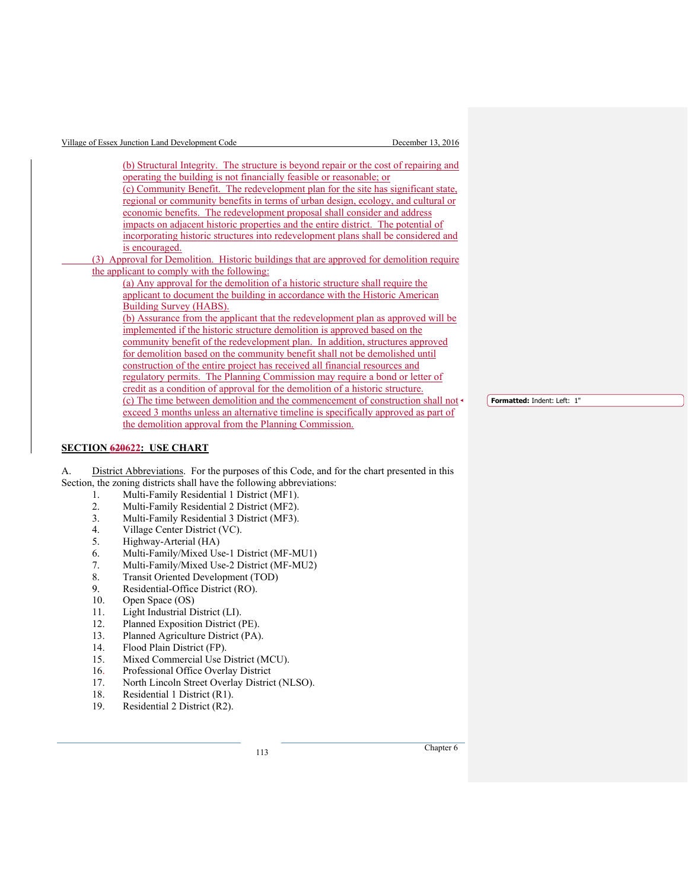| Village of Essex Junction Land Development Code                                          | December 13, 2016 |
|------------------------------------------------------------------------------------------|-------------------|
|                                                                                          |                   |
| (b) Structural Integrity. The structure is beyond repair or the cost of repairing and    |                   |
| operating the building is not financially feasible or reasonable; or                     |                   |
| (c) Community Benefit. The redevelopment plan for the site has significant state,        |                   |
| regional or community benefits in terms of urban design, ecology, and cultural or        |                   |
| economic benefits. The redevelopment proposal shall consider and address                 |                   |
| impacts on adjacent historic properties and the entire district. The potential of        |                   |
| incorporating historic structures into redevelopment plans shall be considered and       |                   |
| is encouraged.                                                                           |                   |
| (3) Approval for Demolition. Historic buildings that are approved for demolition require |                   |
| the applicant to comply with the following:                                              |                   |
| (a) Any approval for the demolition of a historic structure shall require the            |                   |
| applicant to document the building in accordance with the Historic American              |                   |
| Building Survey (HABS).                                                                  |                   |
| (b) Assurance from the applicant that the redevelopment plan as approved will be         |                   |
| implemented if the historic structure demolition is approved based on the                |                   |
| community benefit of the redevelopment plan. In addition, structures approved            |                   |
| for demolition based on the community benefit shall not be demolished until              |                   |
| construction of the entire project has received all financial resources and              |                   |
| regulatory permits. The Planning Commission may require a bond or letter of              |                   |
| credit as a condition of approval for the demolition of a historic structure.            |                   |
| (c) The time between demolition and the commencement of construction shall not           |                   |
| exceed 3 months unless an alternative timeline is specifically approved as part of       |                   |
| the demolition approval from the Planning Commission.                                    |                   |

## **SECTION 620622: USE CHART**

A. District Abbreviations. For the purposes of this Code, and for the chart presented in this Section, the zoning districts shall have the following abbreviations:

- 1. Multi-Family Residential 1 District (MF1).
- 2. Multi-Family Residential 2 District (MF2).
- 3. Multi-Family Residential 3 District (MF3).<br>4. Village Center District (VC).
- 4. Village Center District (VC).<br>5. Highway-Arterial (HA)
- 5. Highway-Arterial (HA)
- 
- 6. Multi-Family/Mixed Use-1 District (MF-MU1) 7. Multi-Family/Mixed Use-2 District (MF-MU2)<br>8. Transit Oriented Development (TOD)
- 
- 8. Transit Oriented Development (TOD)<br>9. Residential-Office District (RO). 9. Residential-Office District (RO).<br>10. Open Space (OS)
- 
- 10. Open Space (OS)<br>11. Light Industrial D
- 11. Light Industrial District (LI).<br>12. Planned Exposition District (l
- 12. Planned Exposition District (PE).<br>13. Planned Agriculture District (PA) 13. Planned Agriculture District (PA).<br>14. Flood Plain District (FP).
- Flood Plain District (FP).
- 15. Mixed Commercial Use District (MCU).
- 16. Professional Office Overlay District
- 17. North Lincoln Street Overlay District (NLSO).
- 18. Residential 1 District (R1).<br>19. Residential 2 District (R2).
- Residential 2 District (R2).

<sup>113</sup> Chapter 6

**Formatted:** Indent: Left: 1"